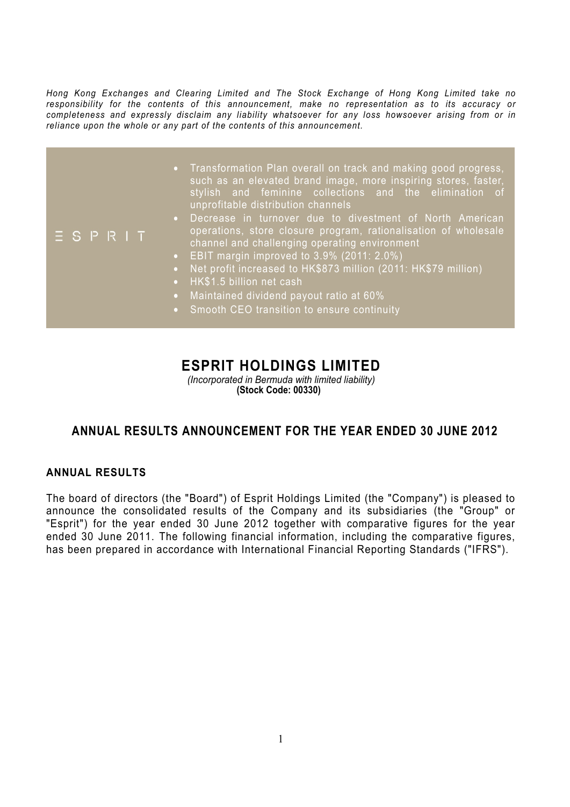*Hong Kong Exchanges and Clearing Limited and The Stock Exchange of Hong Kong Limited take no responsibility for the contents of this announcement, make no representation as to its accuracy or completeness and expressly disclaim any liability whatsoever for any loss howsoever arising from or in reliance upon the whole or any part of the contents of this announcement.* 

|               | • Transformation Plan overall on track and making good progress,<br>such as an elevated brand image, more inspiring stores, faster,<br>stylish and feminine collections and the elimination of<br>unprofitable distribution channels                                                                                                                                                                                                                               |
|---------------|--------------------------------------------------------------------------------------------------------------------------------------------------------------------------------------------------------------------------------------------------------------------------------------------------------------------------------------------------------------------------------------------------------------------------------------------------------------------|
| $E$ S P R $H$ | Decrease in turnover due to divestment of North American<br>$\bullet$<br>operations, store closure program, rationalisation of wholesale<br>channel and challenging operating environment<br>• EBIT margin improved to $3.9\%$ (2011: 2.0%)<br>Net profit increased to HK\$873 million (2011: HK\$79 million)<br>$\bullet$<br>• HK\$1.5 billion net cash<br>Maintained dividend payout ratio at 60%<br>$\bullet$ .<br>• Smooth CEO transition to ensure continuity |

# **ESPRIT HOLDINGS LIMITED**

*(Incorporated in Bermuda with limited liability)* **(Stock Code: 00330)**

# **ANNUAL RESULTS ANNOUNCEMENT FOR THE YEAR ENDED 30 JUNE 2012**

### **ANNUAL RESULTS**

The board of directors (the "Board") of Esprit Holdings Limited (the "Company") is pleased to announce the consolidated results of the Company and its subsidiaries (the "Group" or "Esprit") for the year ended 30 June 2012 together with comparative figures for the year ended 30 June 2011. The following financial information, including the comparative figures, has been prepared in accordance with International Financial Reporting Standards ("IFRS").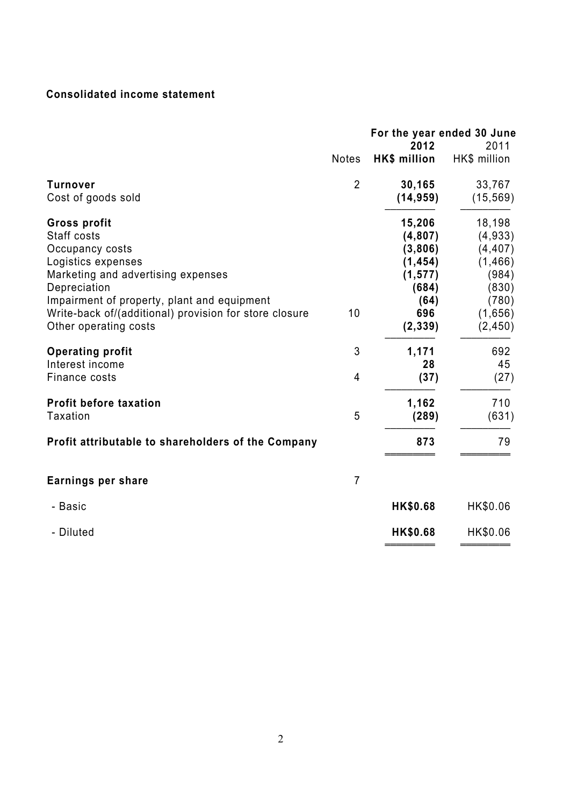# **Consolidated income statement**

| <b>HK\$</b> million<br><b>Notes</b><br>$\overline{2}$<br><b>Turnover</b><br>30,165<br>(14, 959)<br>Cost of goods sold<br>15,206<br><b>Gross profit</b><br>Staff costs<br>(4,807)<br>Occupancy costs<br>(3,806)<br>Logistics expenses<br>(1, 454)<br>Marketing and advertising expenses<br>(1, 577)<br>Depreciation<br>(684)<br>Impairment of property, plant and equipment<br>(64)<br>Write-back of/(additional) provision for store closure<br>10<br>696<br>Other operating costs<br>(2, 339)<br>3<br><b>Operating profit</b><br>1,171<br>Interest income<br>28<br>4<br>Finance costs<br>(37)<br>1,162<br><b>Profit before taxation</b><br>Taxation<br>5<br>(289)<br>Profit attributable to shareholders of the Company<br>873<br>$\overline{7}$<br>Earnings per share<br><b>HK\$0.68</b><br>- Basic |           | For the year ended 30 June<br>2012 | 2011                                                                                        |
|-------------------------------------------------------------------------------------------------------------------------------------------------------------------------------------------------------------------------------------------------------------------------------------------------------------------------------------------------------------------------------------------------------------------------------------------------------------------------------------------------------------------------------------------------------------------------------------------------------------------------------------------------------------------------------------------------------------------------------------------------------------------------------------------------------|-----------|------------------------------------|---------------------------------------------------------------------------------------------|
|                                                                                                                                                                                                                                                                                                                                                                                                                                                                                                                                                                                                                                                                                                                                                                                                       |           |                                    | HK\$ million                                                                                |
|                                                                                                                                                                                                                                                                                                                                                                                                                                                                                                                                                                                                                                                                                                                                                                                                       |           |                                    | 33,767<br>(15, 569)                                                                         |
|                                                                                                                                                                                                                                                                                                                                                                                                                                                                                                                                                                                                                                                                                                                                                                                                       |           |                                    | 18,198<br>(4,933)<br>(4, 407)<br>(1, 466)<br>(984)<br>(830)<br>(780)<br>(1,656)<br>(2, 450) |
|                                                                                                                                                                                                                                                                                                                                                                                                                                                                                                                                                                                                                                                                                                                                                                                                       |           |                                    | 692<br>45<br>(27)                                                                           |
|                                                                                                                                                                                                                                                                                                                                                                                                                                                                                                                                                                                                                                                                                                                                                                                                       |           |                                    | 710<br>(631)                                                                                |
|                                                                                                                                                                                                                                                                                                                                                                                                                                                                                                                                                                                                                                                                                                                                                                                                       |           |                                    | 79                                                                                          |
|                                                                                                                                                                                                                                                                                                                                                                                                                                                                                                                                                                                                                                                                                                                                                                                                       |           |                                    |                                                                                             |
|                                                                                                                                                                                                                                                                                                                                                                                                                                                                                                                                                                                                                                                                                                                                                                                                       |           |                                    | HK\$0.06                                                                                    |
|                                                                                                                                                                                                                                                                                                                                                                                                                                                                                                                                                                                                                                                                                                                                                                                                       | - Diluted | HK\$0.68                           | HK\$0.06                                                                                    |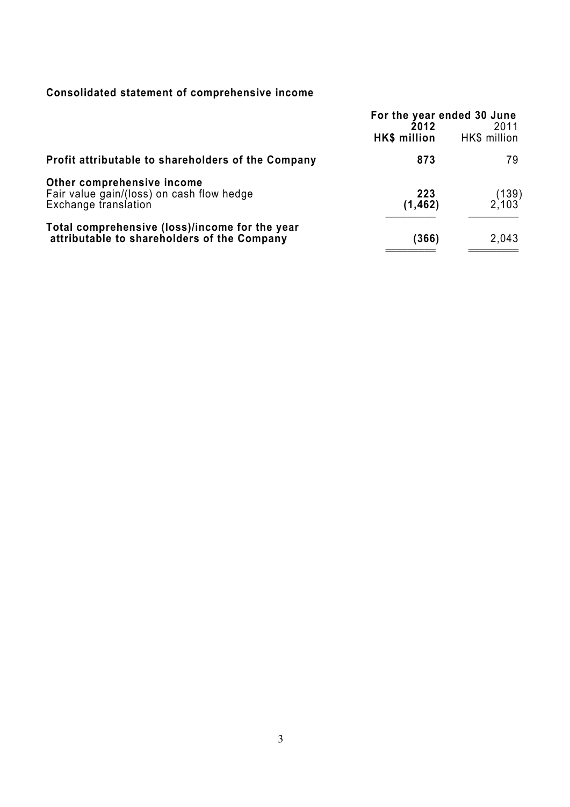# **Consolidated statement of comprehensive income**

|                                                                                                 | For the year ended 30 June<br>2012<br>HK\$ million | 2011<br>HK\$ million |
|-------------------------------------------------------------------------------------------------|----------------------------------------------------|----------------------|
| Profit attributable to shareholders of the Company                                              | 873                                                | 79.                  |
| Other comprehensive income<br>Fair value gain/(loss) on cash flow hedge<br>Exchange translation | 223<br>(1, 462)                                    | $(139)$<br>2,103     |
| Total comprehensive (loss)/income for the year<br>attributable to shareholders of the Company   | (366)                                              | 2,043                |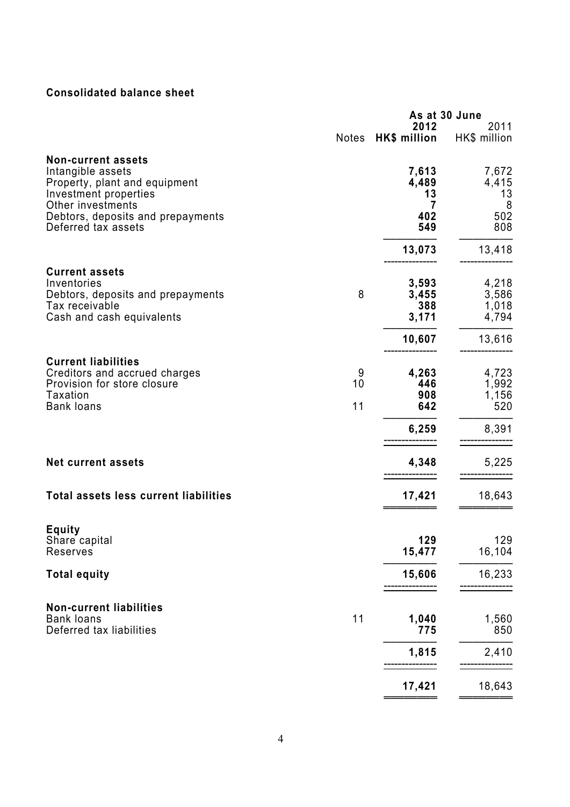# **Consolidated balance sheet**

|                                                                                                                                                                                           | As at 30 June |                                         |                                         |
|-------------------------------------------------------------------------------------------------------------------------------------------------------------------------------------------|---------------|-----------------------------------------|-----------------------------------------|
|                                                                                                                                                                                           | <b>Notes</b>  | 2012<br>HK\$ million                    | 2011<br>HK\$ million                    |
| <b>Non-current assets</b><br>Intangible assets<br>Property, plant and equipment<br>Investment properties<br>Other investments<br>Debtors, deposits and prepayments<br>Deferred tax assets |               | 7,613<br>4,489<br>13<br>7<br>402<br>549 | 7,672<br>4,415<br>13<br>8<br>502<br>808 |
|                                                                                                                                                                                           |               | 13,073                                  | 13,418                                  |
| <b>Current assets</b><br>Inventories<br>Debtors, deposits and prepayments<br>Tax receivable<br>Cash and cash equivalents                                                                  | 8             | 3,593<br>3,455<br>388<br>3,171          | 4,218<br>3,586<br>1,018<br>4,794        |
|                                                                                                                                                                                           |               | 10,607                                  | 13,616                                  |
| <b>Current liabilities</b><br>Creditors and accrued charges<br>Provision for store closure<br><b>Taxation</b><br><b>Bank loans</b>                                                        | 9<br>10<br>11 | 4,263<br>446<br>908<br>642              | 4,723<br>1,992<br>1,156<br>520          |
|                                                                                                                                                                                           |               | 6,259                                   | 8,391                                   |
| <b>Net current assets</b>                                                                                                                                                                 |               | 4,348                                   | 5,225                                   |
| Total assets less current liabilities                                                                                                                                                     |               | 17,421                                  | 18,643                                  |
| <b>Equity</b><br>Share capital<br>Reserves                                                                                                                                                |               | 129<br>15,477                           | 129<br>16,104                           |
| <b>Total equity</b>                                                                                                                                                                       |               | 15,606                                  | 16,233                                  |
| <b>Non-current liabilities</b><br><b>Bank loans</b><br>Deferred tax liabilities                                                                                                           | 11            | 1,040<br>775                            | 1,560<br>850                            |
|                                                                                                                                                                                           |               | 1,815                                   | 2,410                                   |
|                                                                                                                                                                                           |               | 17,421                                  | 18,643                                  |

═════════════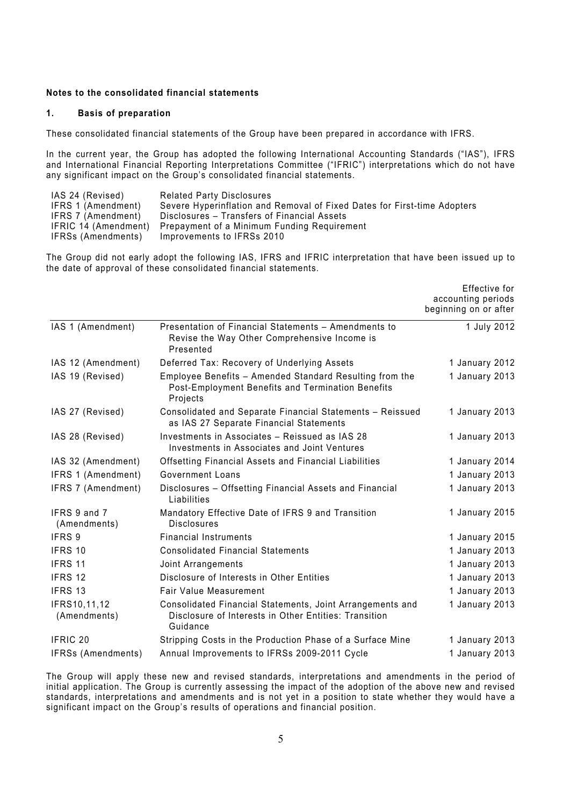#### **Notes to the consolidated financial statements**

#### **1. Basis of preparation**

These consolidated financial statements of the Group have been prepared in accordance with IFRS.

In the current year, the Group has adopted the following International Accounting Standards ("IAS"), IFRS and International Financial Reporting Interpretations Committee ("IFRIC") interpretations which do not have any significant impact on the Group's consolidated financial statements.

| IAS 24 (Revised)     | <b>Related Party Disclosures</b>                                         |
|----------------------|--------------------------------------------------------------------------|
| IFRS 1 (Amendment)   | Severe Hyperinflation and Removal of Fixed Dates for First-time Adopters |
| IFRS 7 (Amendment)   | Disclosures – Transfers of Financial Assets                              |
| IFRIC 14 (Amendment) | Prepayment of a Minimum Funding Requirement                              |
| IFRSs (Amendments)   | Improvements to IFRSs 2010                                               |

The Group did not early adopt the following IAS, IFRS and IFRIC interpretation that have been issued up to the date of approval of these consolidated financial statements.

|                              |                                                                                                                                | Effective for<br>accounting periods<br>beginning on or after |
|------------------------------|--------------------------------------------------------------------------------------------------------------------------------|--------------------------------------------------------------|
| IAS 1 (Amendment)            | Presentation of Financial Statements - Amendments to<br>Revise the Way Other Comprehensive Income is<br>Presented              | 1 July 2012                                                  |
| IAS 12 (Amendment)           | Deferred Tax: Recovery of Underlying Assets                                                                                    | 1 January 2012                                               |
| IAS 19 (Revised)             | Employee Benefits - Amended Standard Resulting from the<br>Post-Employment Benefits and Termination Benefits<br>Projects       | 1 January 2013                                               |
| IAS 27 (Revised)             | Consolidated and Separate Financial Statements - Reissued<br>as IAS 27 Separate Financial Statements                           | 1 January 2013                                               |
| IAS 28 (Revised)             | Investments in Associates - Reissued as IAS 28<br>Investments in Associates and Joint Ventures                                 | 1 January 2013                                               |
| IAS 32 (Amendment)           | Offsetting Financial Assets and Financial Liabilities                                                                          | 1 January 2014                                               |
| IFRS 1 (Amendment)           | Government Loans                                                                                                               | 1 January 2013                                               |
| IFRS 7 (Amendment)           | Disclosures - Offsetting Financial Assets and Financial<br>Liabilities                                                         | 1 January 2013                                               |
| IFRS 9 and 7<br>(Amendments) | Mandatory Effective Date of IFRS 9 and Transition<br><b>Disclosures</b>                                                        | 1 January 2015                                               |
| IFRS 9                       | <b>Financial Instruments</b>                                                                                                   | 1 January 2015                                               |
| IFRS 10                      | <b>Consolidated Financial Statements</b>                                                                                       | 1 January 2013                                               |
| IFRS 11                      | Joint Arrangements                                                                                                             | 1 January 2013                                               |
| IFRS 12                      | Disclosure of Interests in Other Entities                                                                                      | 1 January 2013                                               |
| IFRS 13                      | Fair Value Measurement                                                                                                         | 1 January 2013                                               |
| IFRS10,11,12<br>(Amendments) | Consolidated Financial Statements, Joint Arrangements and<br>Disclosure of Interests in Other Entities: Transition<br>Guidance | 1 January 2013                                               |
| IFRIC 20                     | Stripping Costs in the Production Phase of a Surface Mine                                                                      | 1 January 2013                                               |
| IFRSs (Amendments)           | Annual Improvements to IFRSs 2009-2011 Cycle                                                                                   | 1 January 2013                                               |

The Group will apply these new and revised standards, interpretations and amendments in the period of initial application. The Group is currently assessing the impact of the adoption of the above new and revised standards, interpretations and amendments and is not yet in a position to state whether they would have a significant impact on the Group's results of operations and financial position.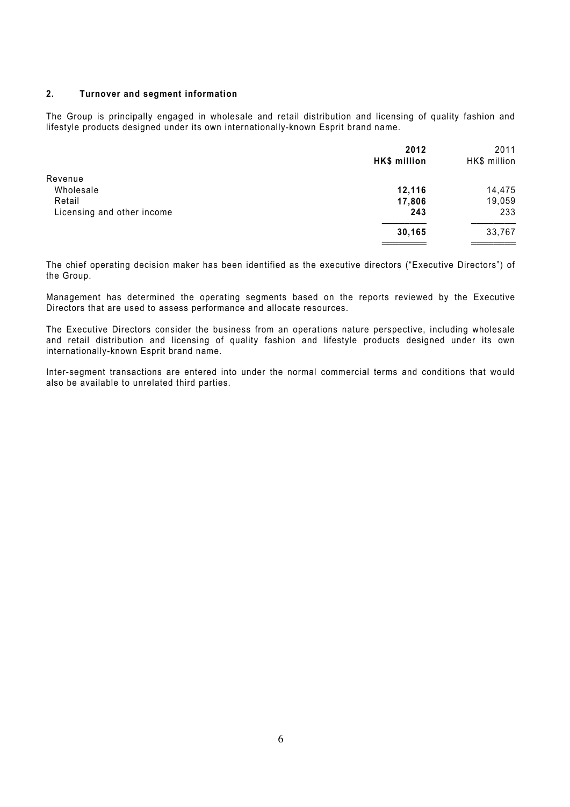#### **2. Turnover and segment information**

The Group is principally engaged in wholesale and retail distribution and licensing of quality fashion and lifestyle products designed under its own internationally-known Esprit brand name.

|                            | 2012<br>HK\$ million | 2011<br>HK\$ million |
|----------------------------|----------------------|----------------------|
| Revenue                    |                      |                      |
| Wholesale                  | 12,116               | 14,475               |
| Retail                     | 17,806               | 19,059               |
| Licensing and other income | 243                  | 233                  |
|                            | 30,165               | 33,767               |
|                            |                      |                      |

The chief operating decision maker has been identified as the executive directors ("Executive Directors") of the Group.

Management has determined the operating segments based on the reports reviewed by the Executive Directors that are used to assess performance and allocate resources.

The Executive Directors consider the business from an operations nature perspective, including wholesale and retail distribution and licensing of quality fashion and lifestyle products designed under its own internationally-known Esprit brand name.

Inter-segment transactions are entered into under the normal commercial terms and conditions that would also be available to unrelated third parties.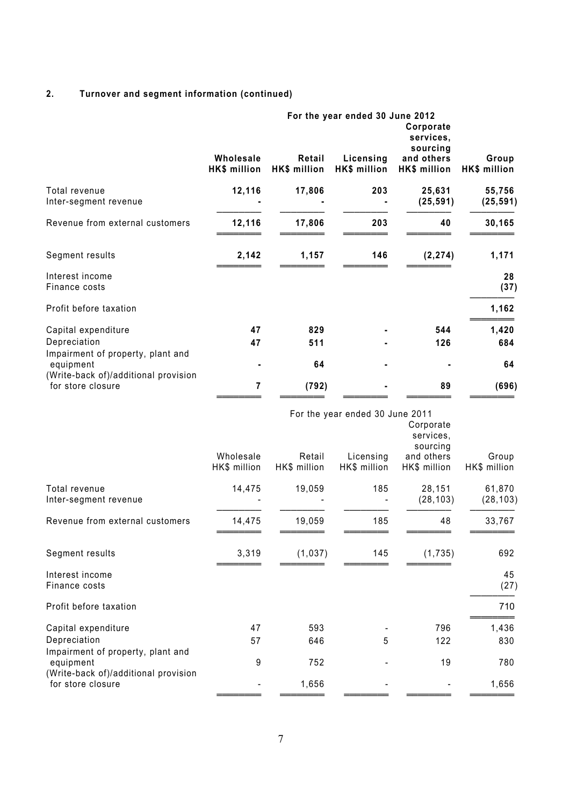# **2. Turnover and segment information (continued)**

|                                                                                        | Wholesale                 | Retail                 | For the year ended 30 June 2012<br>Licensing | Corporate<br>services,<br>sourcing<br>and others | Group                 |
|----------------------------------------------------------------------------------------|---------------------------|------------------------|----------------------------------------------|--------------------------------------------------|-----------------------|
|                                                                                        | <b>HK\$ million</b>       | HK\$ million           | HK\$ million                                 | HK\$ million                                     | HK\$ million          |
| Total revenue<br>Inter-segment revenue                                                 | 12,116                    | 17,806                 | 203                                          | 25,631<br>(25, 591)                              | 55,756<br>(25, 591)   |
| Revenue from external customers                                                        | 12,116                    | 17,806                 | 203                                          | 40                                               | 30,165                |
| Segment results                                                                        | 2,142                     | 1,157                  | 146                                          | (2, 274)                                         | 1,171                 |
| Interest income<br>Finance costs                                                       |                           |                        |                                              |                                                  | 28<br>(37)            |
| Profit before taxation                                                                 |                           |                        |                                              |                                                  | 1,162                 |
| Capital expenditure<br>Depreciation                                                    | 47<br>47                  | 829<br>511             |                                              | 544<br>126                                       | 1,420<br>684          |
| Impairment of property, plant and<br>equipment                                         |                           | 64                     |                                              |                                                  | 64                    |
| (Write-back of)/additional provision<br>for store closure                              | 7                         | (792)                  |                                              | 89                                               | (696)                 |
|                                                                                        |                           |                        | For the year ended 30 June 2011              | Corporate<br>services,<br>sourcing               |                       |
|                                                                                        | Wholesale<br>HK\$ million | Retail<br>HK\$ million | Licensing<br>HK\$ million                    | and others<br>HK\$ million                       | Group<br>HK\$ million |
| Total revenue<br>Inter-segment revenue                                                 | 14,475                    | 19,059                 | 185                                          | 28,151<br>(28, 103)                              | 61,870<br>(28, 103)   |
| Revenue from external customers                                                        | 14,475                    | 19,059                 | 185                                          | 48                                               | 33,767                |
| Segment results                                                                        | 3,319                     | (1,037)                | 145                                          | (1,735)                                          | 692                   |
| Interest income<br>Finance costs                                                       |                           |                        |                                              |                                                  | 45<br>(27)            |
| Profit before taxation                                                                 |                           |                        |                                              |                                                  | 710                   |
| Capital expenditure                                                                    | 47                        | 593                    |                                              | 796                                              | 1,436                 |
| Depreciation                                                                           | 57                        | 646                    | 5                                            | 122                                              | 830                   |
| Impairment of property, plant and<br>equipment<br>(Write-back of)/additional provision | 9                         | 752                    |                                              | 19                                               | 780                   |
| for store closure                                                                      |                           | 1,656                  |                                              |                                                  | 1,656                 |

════════ ════════ ════════ ════════ ════════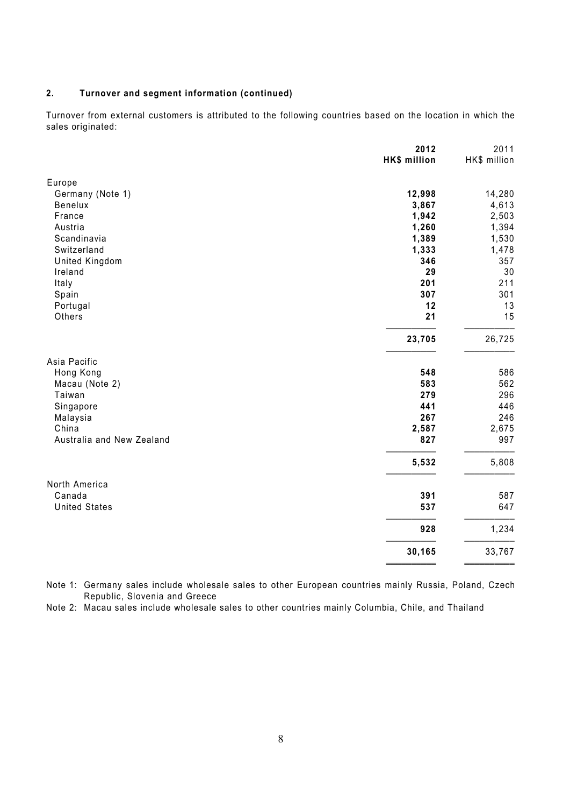### **2. Turnover and segment information (continued)**

Turnover from external customers is attributed to the following countries based on the location in which the sales originated:

|                           | 2012<br>HK\$ million | 2011<br>HK\$ million |
|---------------------------|----------------------|----------------------|
| Europe                    |                      |                      |
| Germany (Note 1)          | 12,998               | 14,280               |
| Benelux                   | 3,867                | 4,613                |
| France                    | 1,942                | 2,503                |
| Austria                   | 1,260                | 1,394                |
| Scandinavia               | 1,389                | 1,530                |
| Switzerland               | 1,333                | 1,478                |
| <b>United Kingdom</b>     | 346                  | 357                  |
| Ireland                   | 29                   | 30                   |
| Italy                     | 201                  | 211                  |
| Spain                     | 307                  | 301                  |
| Portugal                  | 12                   | 13                   |
| Others                    | 21                   | 15                   |
|                           | 23,705               | 26,725               |
| Asia Pacific              |                      |                      |
| Hong Kong                 | 548                  | 586                  |
| Macau (Note 2)            | 583                  | 562                  |
| Taiwan                    | 279                  | 296                  |
| Singapore                 | 441                  | 446                  |
| Malaysia                  | 267                  | 246                  |
| China                     | 2,587                | 2,675                |
| Australia and New Zealand | 827                  | 997                  |
|                           | 5,532                | 5,808                |
| North America             |                      |                      |
| Canada                    | 391                  | 587                  |
| <b>United States</b>      | 537                  | 647                  |
|                           | 928                  | 1,234                |
|                           | 30,165               | 33,767               |
|                           |                      |                      |

Note 1: Germany sales include wholesale sales to other European countries mainly Russia, Poland, Czech Republic, Slovenia and Greece

Note 2: Macau sales include wholesale sales to other countries mainly Columbia, Chile, and Thailand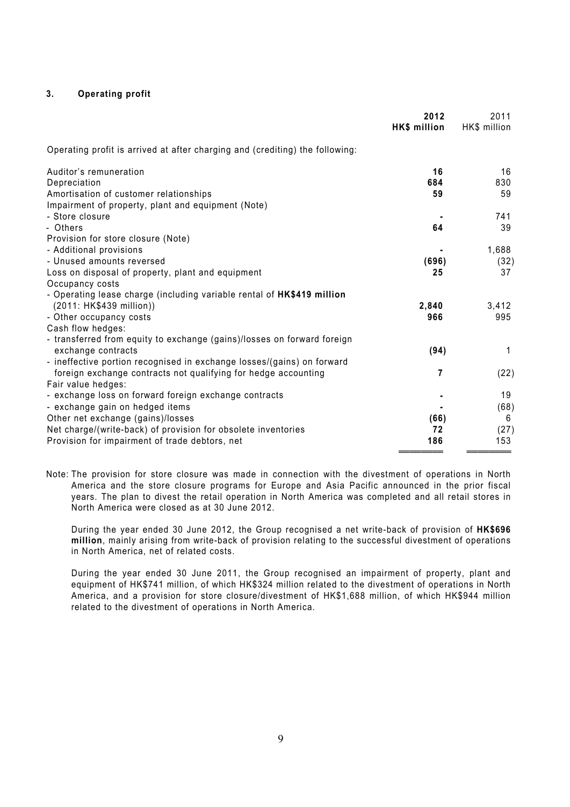#### **3. Operating profit**

|                                                                                               | 2012<br>HK\$ million | 2011<br>HK\$ million |
|-----------------------------------------------------------------------------------------------|----------------------|----------------------|
| Operating profit is arrived at after charging and (crediting) the following:                  |                      |                      |
| Auditor's remuneration                                                                        | 16                   | 16                   |
| Depreciation                                                                                  | 684                  | 830                  |
| Amortisation of customer relationships                                                        | 59                   | 59                   |
| Impairment of property, plant and equipment (Note)                                            |                      |                      |
| - Store closure                                                                               |                      | 741                  |
| - Others                                                                                      | 64                   | 39                   |
| Provision for store closure (Note)                                                            |                      |                      |
| - Additional provisions                                                                       |                      | 1,688                |
| - Unused amounts reversed                                                                     | (696)                | (32)                 |
| Loss on disposal of property, plant and equipment                                             | 25                   | 37                   |
| Occupancy costs                                                                               |                      |                      |
| - Operating lease charge (including variable rental of HK\$419 million                        |                      |                      |
| (2011: HK\$439 million))                                                                      | 2,840                | 3,412                |
| - Other occupancy costs                                                                       | 966                  | 995                  |
| Cash flow hedges:                                                                             |                      |                      |
| - transferred from equity to exchange (gains)/losses on forward foreign<br>exchange contracts | (94)                 | 1                    |
| - ineffective portion recognised in exchange losses/(gains) on forward                        |                      |                      |
| foreign exchange contracts not qualifying for hedge accounting                                | $\overline{7}$       | (22)                 |
| Fair value hedges:                                                                            |                      |                      |
| - exchange loss on forward foreign exchange contracts                                         |                      | 19                   |
| - exchange gain on hedged items                                                               |                      | (68)                 |
| Other net exchange (gains)/losses                                                             | (66)                 | 6                    |
| Net charge/(write-back) of provision for obsolete inventories                                 | 72                   | (27)                 |
| Provision for impairment of trade debtors, net                                                | 186                  | 153                  |
|                                                                                               |                      |                      |

Note: The provision for store closure was made in connection with the divestment of operations in North America and the store closure programs for Europe and Asia Pacific announced in the prior fiscal years. The plan to divest the retail operation in North America was completed and all retail stores in North America were closed as at 30 June 2012.

During the year ended 30 June 2012, the Group recognised a net write-back of provision of **HK\$696 million**, mainly arising from write-back of provision relating to the successful divestment of operations in North America, net of related costs.

During the year ended 30 June 2011, the Group recognised an impairment of property, plant and equipment of HK\$741 million, of which HK\$324 million related to the divestment of operations in North America, and a provision for store closure/divestment of HK\$1,688 million, of which HK\$944 million related to the divestment of operations in North America.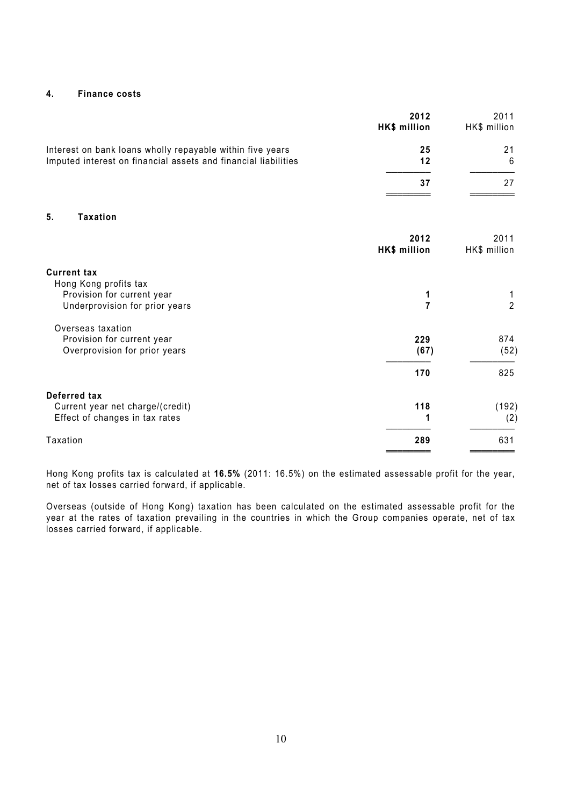#### **4. Finance costs**

|                                                                                                                             | 2012<br>HK\$ million | 2011<br>HK\$ million |
|-----------------------------------------------------------------------------------------------------------------------------|----------------------|----------------------|
| Interest on bank loans wholly repayable within five years<br>Imputed interest on financial assets and financial liabilities | 25<br>12             | 21<br>6              |
|                                                                                                                             | 37                   | 27                   |
| 5.<br><b>Taxation</b>                                                                                                       |                      |                      |
|                                                                                                                             | 2012<br>HK\$ million | 2011<br>HK\$ million |
| <b>Current tax</b>                                                                                                          |                      |                      |
| Hong Kong profits tax<br>Provision for current year<br>Underprovision for prior years                                       | 1<br>$\overline{7}$  | 1<br>$\overline{2}$  |
| Overseas taxation<br>Provision for current year<br>Overprovision for prior years                                            | 229<br>(67)          | 874<br>(52)          |
|                                                                                                                             | 170                  | 825                  |
| Deferred tax                                                                                                                |                      |                      |
| Current year net charge/(credit)<br>Effect of changes in tax rates                                                          | 118                  | (192)<br>(2)         |
| Taxation                                                                                                                    | 289                  | 631                  |

Hong Kong profits tax is calculated at **16.5%** (2011: 16.5%) on the estimated assessable profit for the year, net of tax losses carried forward, if applicable.

Overseas (outside of Hong Kong) taxation has been calculated on the estimated assessable profit for the year at the rates of taxation prevailing in the countries in which the Group companies operate, net of tax losses carried forward, if applicable.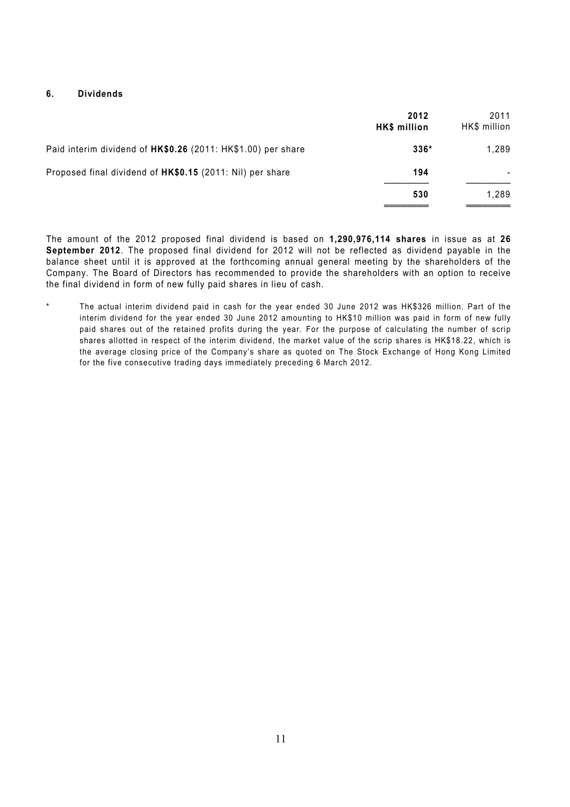#### **6. Dividends**

|                                                              | 2012<br>HK\$ million | 2011<br>HK\$ million |
|--------------------------------------------------------------|----------------------|----------------------|
| Paid interim dividend of HK\$0.26 (2011: HK\$1.00) per share | $336*$               | 1.289                |
| Proposed final dividend of HK\$0.15 (2011: Nil) per share    | 194                  | ٠                    |
|                                                              | 530                  | 1.289                |

The amount of the 2012 proposed final dividend is based on **1,290,976,114 shares** in issue as at **26 September 2012**. The proposed final dividend for 2012 will not be reflected as dividend payable in the balance sheet until it is approved at the forthcoming annual general meeting by the shareholders of the Company. The Board of Directors has recommended to provide the shareholders with an option to receive the final dividend in form of new fully paid shares in lieu of cash.

\* The actual interim dividend paid in cash for the year ended 30 June 2012 was HK\$326 million. Part of the interim dividend for the year ended 30 June 2012 amounting to HK\$10 million was paid in form of new fully paid shares out of the retained profits during the year. For the purpose of calculating the number of scrip shares allotted in respect of the interim dividend, the market value of the scrip shares is HK\$18.22, which is the average closing price of the Company's share as quoted on The Stock Exchange of Hong Kong Limited for the five consecutive trading days immediately preceding 6 March 2012.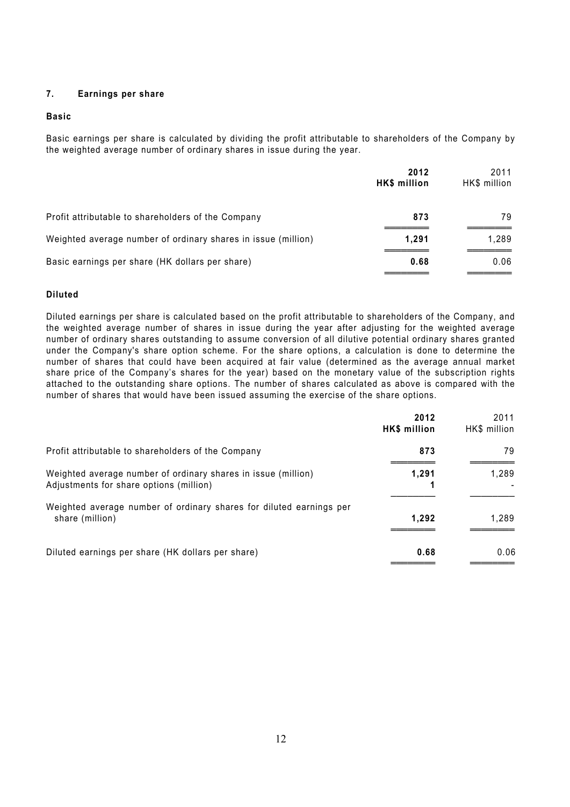#### **7. Earnings per share**

#### **Basic**

Basic earnings per share is calculated by dividing the profit attributable to shareholders of the Company by the weighted average number of ordinary shares in issue during the year.

|                                                               | 2012<br>HK\$ million | 2011<br>HK\$ million |
|---------------------------------------------------------------|----------------------|----------------------|
| Profit attributable to shareholders of the Company            | 873                  | 79                   |
| Weighted average number of ordinary shares in issue (million) | 1,291                | 1.289                |
| Basic earnings per share (HK dollars per share)               | 0.68                 | 0.06                 |

#### **Diluted**

Diluted earnings per share is calculated based on the profit attributable to shareholders of the Company, and the weighted average number of shares in issue during the year after adjusting for the weighted average number of ordinary shares outstanding to assume conversion of all dilutive potential ordinary shares granted under the Company's share option scheme. For the share options, a calculation is done to determine the number of shares that could have been acquired at fair value (determined as the average annual market share price of the Company's shares for the year) based on the monetary value of the subscription rights attached to the outstanding share options. The number of shares calculated as above is compared with the number of shares that would have been issued assuming the exercise of the share options.

|                                                                                                          | 2012<br>HK\$ million | 2011<br>HK\$ million |
|----------------------------------------------------------------------------------------------------------|----------------------|----------------------|
| Profit attributable to shareholders of the Company                                                       | 873                  | 79                   |
| Weighted average number of ordinary shares in issue (million)<br>Adjustments for share options (million) | 1.291                | 1,289                |
| Weighted average number of ordinary shares for diluted earnings per<br>share (million)                   | 1.292                | 1.289                |
| Diluted earnings per share (HK dollars per share)                                                        | 0.68                 | 0.06                 |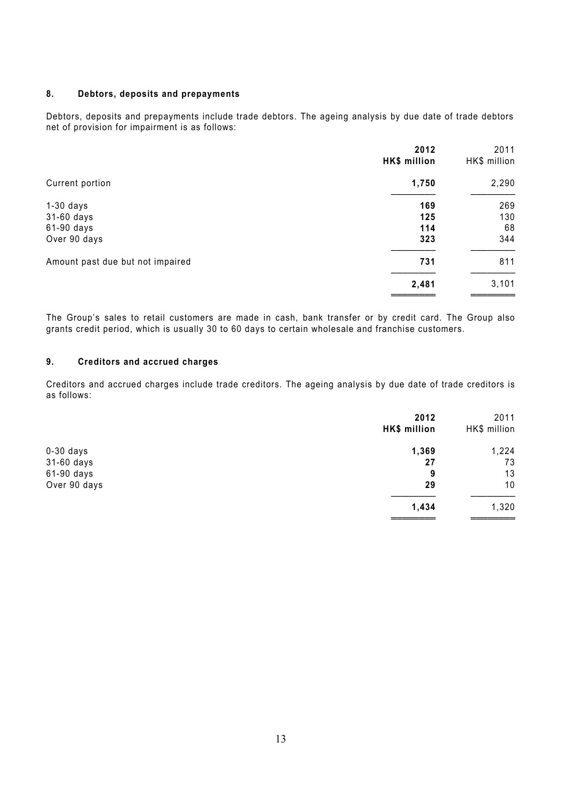#### **8. Debtors, deposits and prepayments**

Debtors, deposits and prepayments include trade debtors. The ageing analysis by due date of trade debtors net of provision for impairment is as follows:

|                                  | 2012<br>HK\$ million | 2011<br>HK\$ million |
|----------------------------------|----------------------|----------------------|
| Current portion                  | 1,750                | 2,290                |
| $1-30$ days                      | 169                  | 269                  |
| 31-60 days                       | 125                  | 130                  |
| 61-90 days                       | 114                  | 68                   |
| Over 90 days                     | 323                  | 344                  |
| Amount past due but not impaired | 731                  | 811                  |
|                                  | 2,481                | 3,101                |
|                                  |                      |                      |

The Group's sales to retail customers are made in cash, bank transfer or by credit card. The Group also grants credit period, which is usually 30 to 60 days to certain wholesale and franchise customers.

#### **9. Creditors and accrued charges**

Creditors and accrued charges include trade creditors. The ageing analysis by due date of trade creditors is as follows:

|              | 2012<br>HK\$ million | 2011<br>HK\$ million |
|--------------|----------------------|----------------------|
| $0-30$ days  | 1,369                | 1,224                |
| $31-60$ days | 27                   | 73                   |
| $61-90$ days | 9                    | 13                   |
| Over 90 days | 29                   | 10                   |
|              | 1,434                | 1,320                |
|              |                      |                      |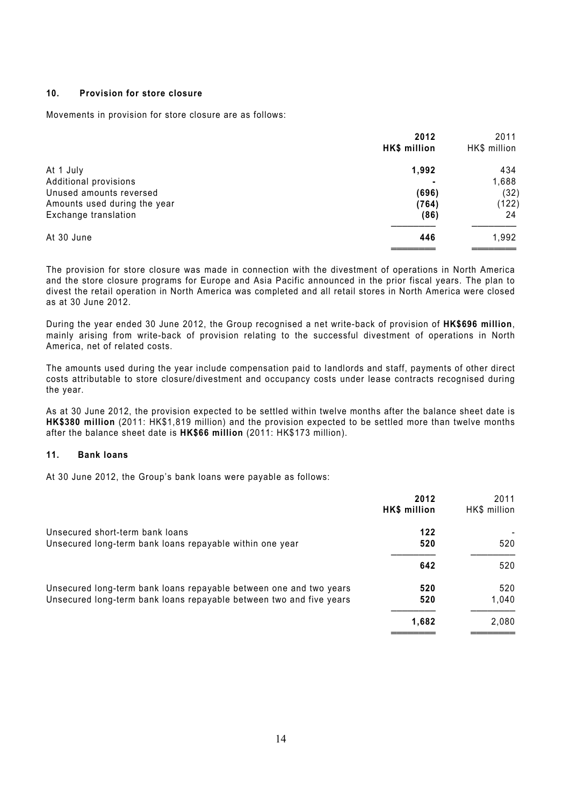#### **10. Provision for store closure**

Movements in provision for store closure are as follows:

|                              | 2012<br>HK\$ million | 2011<br>HK\$ million |
|------------------------------|----------------------|----------------------|
| At 1 July                    | 1,992                | 434                  |
| Additional provisions        |                      | 1,688                |
| Unused amounts reversed      | (696)                | (32)                 |
| Amounts used during the year | (764)                | (122)                |
| Exchange translation         | (86)                 | 24                   |
| At 30 June                   | 446                  | 1,992                |
|                              |                      |                      |

The provision for store closure was made in connection with the divestment of operations in North America and the store closure programs for Europe and Asia Pacific announced in the prior fiscal years. The plan to divest the retail operation in North America was completed and all retail stores in North America were closed as at 30 June 2012.

During the year ended 30 June 2012, the Group recognised a net write-back of provision of **HK\$696 million**, mainly arising from write-back of provision relating to the successful divestment of operations in North America, net of related costs.

The amounts used during the year include compensation paid to landlords and staff, payments of other direct costs attributable to store closure/divestment and occupancy costs under lease contracts recognised during the year.

As at 30 June 2012, the provision expected to be settled within twelve months after the balance sheet date is **HK\$380 million** (2011: HK\$1,819 million) and the provision expected to be settled more than twelve months after the balance sheet date is **HK\$66 million** (2011: HK\$173 million).

#### **11. Bank loans**

At 30 June 2012, the Group's bank loans were payable as follows:

|                                                                     | 2012<br>HK\$ million | 2011<br>HK\$ million |
|---------------------------------------------------------------------|----------------------|----------------------|
| Unsecured short-term bank loans                                     | 122                  |                      |
| Unsecured long-term bank loans repayable within one year            | 520                  | 520                  |
|                                                                     | 642                  | 520                  |
| Unsecured long-term bank loans repayable between one and two years  | 520                  | 520                  |
| Unsecured long-term bank loans repayable between two and five years | 520                  | 1.040                |
|                                                                     | 1,682                | 2,080                |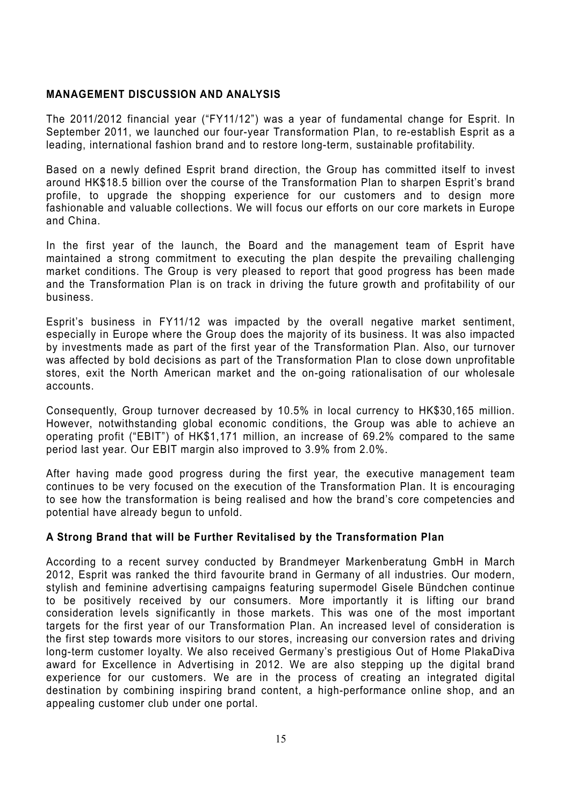### **MANAGEMENT DISCUSSION AND ANALYSIS**

The 2011/2012 financial year ("FY11/12") was a year of fundamental change for Esprit. In September 2011, we launched our four-year Transformation Plan, to re-establish Esprit as a leading, international fashion brand and to restore long-term, sustainable profitability.

Based on a newly defined Esprit brand direction, the Group has committed itself to invest around HK\$18.5 billion over the course of the Transformation Plan to sharpen Esprit's brand profile, to upgrade the shopping experience for our customers and to design more fashionable and valuable collections. We will focus our efforts on our core markets in Europe and China.

In the first year of the launch, the Board and the management team of Esprit have maintained a strong commitment to executing the plan despite the prevailing challenging market conditions. The Group is very pleased to report that good progress has been made and the Transformation Plan is on track in driving the future growth and profitability of our business.

Esprit's business in FY11/12 was impacted by the overall negative market sentiment, especially in Europe where the Group does the majority of its business. It was also impacted by investments made as part of the first year of the Transformation Plan. Also, our turnover was affected by bold decisions as part of the Transformation Plan to close down unprofitable stores, exit the North American market and the on-going rationalisation of our wholesale accounts.

Consequently, Group turnover decreased by 10.5% in local currency to HK\$30,165 million. However, notwithstanding global economic conditions, the Group was able to achieve an operating profit ("EBIT") of HK\$1,171 million, an increase of 69.2% compared to the same period last year. Our EBIT margin also improved to 3.9% from 2.0%.

After having made good progress during the first year, the executive management team continues to be very focused on the execution of the Transformation Plan. It is encouraging to see how the transformation is being realised and how the brand's core competencies and potential have already begun to unfold.

### **A Strong Brand that will be Further Revitalised by the Transformation Plan**

According to a recent survey conducted by Brandmeyer Markenberatung GmbH in March 2012, Esprit was ranked the third favourite brand in Germany of all industries. Our modern, stylish and feminine advertising campaigns featuring supermodel Gisele Bündchen continue to be positively received by our consumers. More importantly it is lifting our brand consideration levels significantly in those markets. This was one of the most important targets for the first year of our Transformation Plan. An increased level of consideration is the first step towards more visitors to our stores, increasing our conversion rates and driving long-term customer loyalty. We also received Germany's prestigious Out of Home PlakaDiva award for Excellence in Advertising in 2012. We are also stepping up the digital brand experience for our customers. We are in the process of creating an integrated digital destination by combining inspiring brand content, a high-performance online shop, and an appealing customer club under one portal.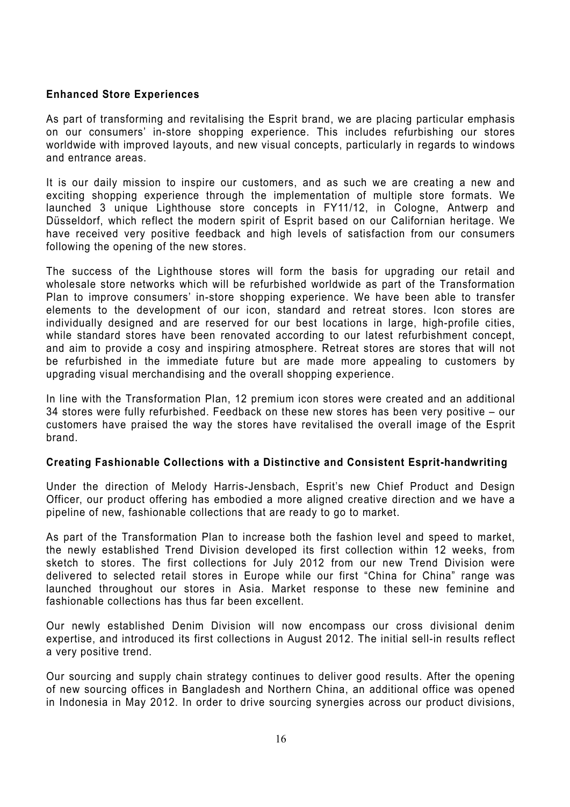### **Enhanced Store Experiences**

As part of transforming and revitalising the Esprit brand, we are placing particular emphasis on our consumers' in-store shopping experience. This includes refurbishing our stores worldwide with improved layouts, and new visual concepts, particularly in regards to windows and entrance areas.

It is our daily mission to inspire our customers, and as such we are creating a new and exciting shopping experience through the implementation of multiple store formats. We launched 3 unique Lighthouse store concepts in FY11/12, in Cologne, Antwerp and Düsseldorf, which reflect the modern spirit of Esprit based on our Californian heritage. We have received very positive feedback and high levels of satisfaction from our consumers following the opening of the new stores.

The success of the Lighthouse stores will form the basis for upgrading our retail and wholesale store networks which will be refurbished worldwide as part of the Transformation Plan to improve consumers' in-store shopping experience. We have been able to transfer elements to the development of our icon, standard and retreat stores. Icon stores are individually designed and are reserved for our best locations in large, high-profile cities, while standard stores have been renovated according to our latest refurbishment concept, and aim to provide a cosy and inspiring atmosphere. Retreat stores are stores that will not be refurbished in the immediate future but are made more appealing to customers by upgrading visual merchandising and the overall shopping experience.

In line with the Transformation Plan, 12 premium icon stores were created and an additional 34 stores were fully refurbished. Feedback on these new stores has been very positive – our customers have praised the way the stores have revitalised the overall image of the Esprit brand.

### **Creating Fashionable Collections with a Distinctive and Consistent Esprit-handwriting**

Under the direction of Melody Harris-Jensbach, Esprit's new Chief Product and Design Officer, our product offering has embodied a more aligned creative direction and we have a pipeline of new, fashionable collections that are ready to go to market.

As part of the Transformation Plan to increase both the fashion level and speed to market, the newly established Trend Division developed its first collection within 12 weeks, from sketch to stores. The first collections for July 2012 from our new Trend Division were delivered to selected retail stores in Europe while our first "China for China" range was launched throughout our stores in Asia. Market response to these new feminine and fashionable collections has thus far been excellent.

Our newly established Denim Division will now encompass our cross divisional denim expertise, and introduced its first collections in August 2012. The initial sell-in results reflect a very positive trend.

Our sourcing and supply chain strategy continues to deliver good results. After the opening of new sourcing offices in Bangladesh and Northern China, an additional office was opened in Indonesia in May 2012. In order to drive sourcing synergies across our product divisions,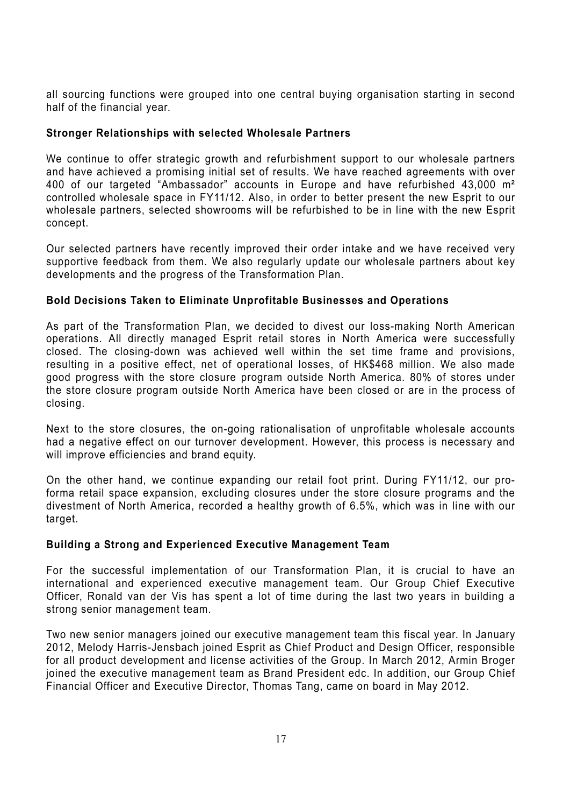all sourcing functions were grouped into one central buying organisation starting in second half of the financial year.

### **Stronger Relationships with selected Wholesale Partners**

We continue to offer strategic growth and refurbishment support to our wholesale partners and have achieved a promising initial set of results. We have reached agreements with over 400 of our targeted "Ambassador" accounts in Europe and have refurbished 43,000 m² controlled wholesale space in FY11/12. Also, in order to better present the new Esprit to our wholesale partners, selected showrooms will be refurbished to be in line with the new Esprit concept.

Our selected partners have recently improved their order intake and we have received very supportive feedback from them. We also regularly update our wholesale partners about key developments and the progress of the Transformation Plan.

### **Bold Decisions Taken to Eliminate Unprofitable Businesses and Operations**

As part of the Transformation Plan, we decided to divest our loss-making North American operations. All directly managed Esprit retail stores in North America were successfully closed. The closing-down was achieved well within the set time frame and provisions, resulting in a positive effect, net of operational losses, of HK\$468 million. We also made good progress with the store closure program outside North America. 80% of stores under the store closure program outside North America have been closed or are in the process of closing.

Next to the store closures, the on-going rationalisation of unprofitable wholesale accounts had a negative effect on our turnover development. However, this process is necessary and will improve efficiencies and brand equity.

On the other hand, we continue expanding our retail foot print. During FY11/12, our proforma retail space expansion, excluding closures under the store closure programs and the divestment of North America, recorded a healthy growth of 6.5%, which was in line with our target.

### **Building a Strong and Experienced Executive Management Team**

For the successful implementation of our Transformation Plan, it is crucial to have an international and experienced executive management team. Our Group Chief Executive Officer, Ronald van der Vis has spent a lot of time during the last two years in building a strong senior management team.

Two new senior managers joined our executive management team this fiscal year. In January 2012, Melody Harris-Jensbach joined Esprit as Chief Product and Design Officer, responsible for all product development and license activities of the Group. In March 2012, Armin Broger joined the executive management team as Brand President edc. In addition, our Group Chief Financial Officer and Executive Director, Thomas Tang, came on board in May 2012.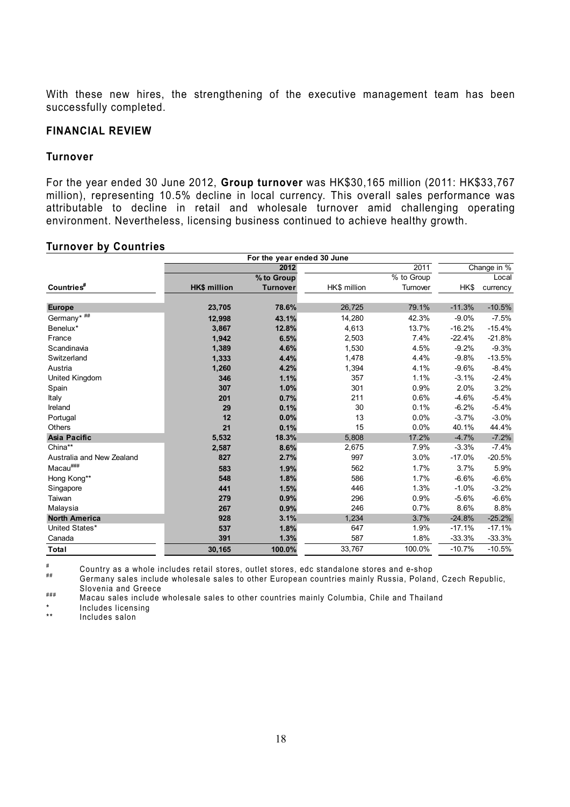With these new hires, the strengthening of the executive management team has been successfully completed.

#### **FINANCIAL REVIEW**

#### **Turnover**

For the year ended 30 June 2012, **Group turnover** was HK\$30,165 million (2011: HK\$33,767 million), representing 10.5% decline in local currency. This overall sales performance was attributable to decline in retail and wholesale turnover amid challenging operating environment. Nevertheless, licensing business continued to achieve healthy growth.

#### **Turnover by Countries**

|                           |                     | For the year ended 30 June |              |            |          |             |
|---------------------------|---------------------|----------------------------|--------------|------------|----------|-------------|
|                           |                     | 2012                       |              | 2011       |          | Change in % |
|                           |                     | % to Group                 |              | % to Group |          | Local       |
| Countries <sup>#</sup>    | <b>HK\$ million</b> | <b>Turnover</b>            | HK\$ million | Turnover   | HK\$     | currency    |
| <b>Europe</b>             | 23,705              | 78.6%                      | 26,725       | 79.1%      | $-11.3%$ | $-10.5%$    |
| Germany* ##               | 12,998              | 43.1%                      | 14,280       | 42.3%      | $-9.0%$  | $-7.5%$     |
| Benelux*                  | 3,867               | 12.8%                      | 4,613        | 13.7%      | $-16.2%$ | $-15.4%$    |
| France                    | 1,942               | 6.5%                       | 2,503        | 7.4%       | $-22.4%$ | $-21.8%$    |
| Scandinavia               | 1,389               | 4.6%                       | 1,530        | 4.5%       | $-9.2%$  | $-9.3%$     |
| Switzerland               | 1,333               | 4.4%                       | 1,478        | 4.4%       | $-9.8%$  | $-13.5%$    |
| Austria                   | 1,260               | 4.2%                       | 1,394        | 4.1%       | $-9.6%$  | $-8.4%$     |
| United Kingdom            | 346                 | 1.1%                       | 357          | 1.1%       | $-3.1%$  | $-2.4%$     |
| Spain                     | 307                 | 1.0%                       | 301          | 0.9%       | 2.0%     | 3.2%        |
| Italy                     | 201                 | 0.7%                       | 211          | 0.6%       | $-4.6%$  | $-5.4%$     |
| Ireland                   | 29                  | 0.1%                       | 30           | 0.1%       | $-6.2%$  | $-5.4%$     |
| Portugal                  | 12                  | 0.0%                       | 13           | 0.0%       | $-3.7%$  | $-3.0%$     |
| <b>Others</b>             | 21                  | 0.1%                       | 15           | 0.0%       | 40.1%    | 44.4%       |
| <b>Asia Pacific</b>       | 5,532               | 18.3%                      | 5,808        | 17.2%      | $-4.7%$  | $-7.2%$     |
| China**                   | 2,587               | 8.6%                       | 2,675        | 7.9%       | $-3.3%$  | $-7.4%$     |
| Australia and New Zealand | 827                 | 2.7%                       | 997          | 3.0%       | $-17.0%$ | $-20.5%$    |
| $Macau^{\# \# \#}$        | 583                 | 1.9%                       | 562          | 1.7%       | 3.7%     | 5.9%        |
| Hong Kong**               | 548                 | 1.8%                       | 586          | 1.7%       | $-6.6%$  | $-6.6%$     |
| Singapore                 | 441                 | 1.5%                       | 446          | 1.3%       | $-1.0%$  | $-3.2%$     |
| Taiwan                    | 279                 | 0.9%                       | 296          | 0.9%       | $-5.6%$  | $-6.6%$     |
| Malaysia                  | 267                 | 0.9%                       | 246          | 0.7%       | 8.6%     | 8.8%        |
| <b>North America</b>      | 928                 | 3.1%                       | 1,234        | 3.7%       | $-24.8%$ | $-25.2%$    |
| United States*            | 537                 | 1.8%                       | 647          | 1.9%       | $-17.1%$ | $-17.1%$    |
| Canada                    | 391                 | 1.3%                       | 587          | 1.8%       | $-33.3%$ | $-33.3%$    |
| <b>Total</b>              | 30,165              | 100.0%                     | 33,767       | 100.0%     | $-10.7%$ | $-10.5%$    |

# Country as a whole includes retail stores, outlet stores, edc standalone stores and e-shop<br># Germany sales include wholesale sales to other European countries mainly Russia, Poland, Czech Republic,

Slovenia and Greece ### Macau sales include wholesale sales to other countries mainly Columbia, Chile and Thailand

\* Includes licensing

Includes salon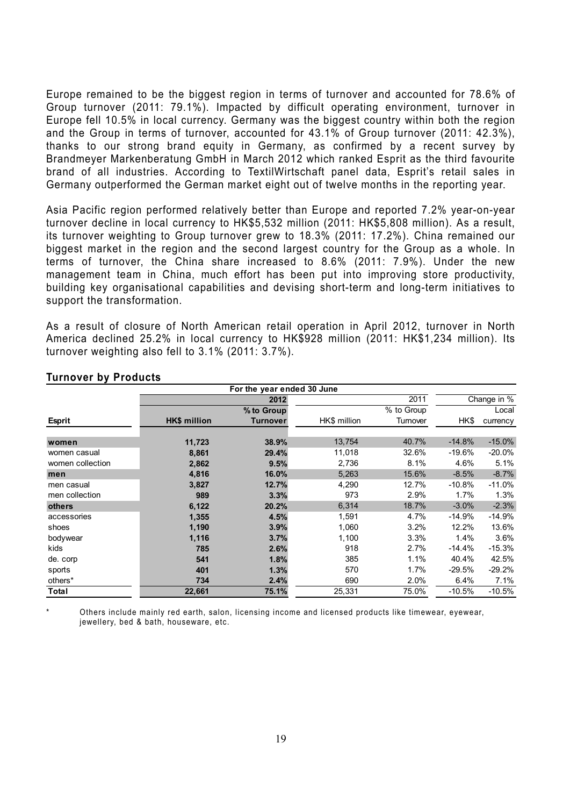Europe remained to be the biggest region in terms of turnover and accounted for 78.6% of Group turnover (2011: 79.1%). Impacted by difficult operating environment, turnover in Europe fell 10.5% in local currency. Germany was the biggest country within both the region and the Group in terms of turnover, accounted for 43.1% of Group turnover (2011: 42.3%), thanks to our strong brand equity in Germany, as confirmed by a recent survey by Brandmeyer Markenberatung GmbH in March 2012 which ranked Esprit as the third favourite brand of all industries. According to TextilWirtschaft panel data, Esprit's retail sales in Germany outperformed the German market eight out of twelve months in the reporting year.

Asia Pacific region performed relatively better than Europe and reported 7.2% year-on-year turnover decline in local currency to HK\$5,532 million (2011: HK\$5,808 million). As a result, its turnover weighting to Group turnover grew to 18.3% (2011: 17.2%). China remained our biggest market in the region and the second largest country for the Group as a whole. In terms of turnover, the China share increased to 8.6% (2011: 7.9%). Under the new management team in China, much effort has been put into improving store productivity, building key organisational capabilities and devising short-term and long-term initiatives to support the transformation.

As a result of closure of North American retail operation in April 2012, turnover in North America declined 25.2% in local currency to HK\$928 million (2011: HK\$1,234 million). Its turnover weighting also fell to 3.1% (2011: 3.7%).

|                  | For the year ended 30 June |            |              |            |             |          |
|------------------|----------------------------|------------|--------------|------------|-------------|----------|
|                  |                            | 2012       |              | 2011       | Change in % |          |
|                  |                            | % to Group |              | % to Group |             | Local    |
| <b>Esprit</b>    | HK\$ million               | Turnover   | HK\$ million | Turnover   | HK\$        | currency |
|                  |                            |            |              |            |             |          |
| women            | 11,723                     | 38.9%      | 13,754       | 40.7%      | $-14.8%$    | $-15.0%$ |
| women casual     | 8,861                      | 29.4%      | 11,018       | 32.6%      | $-19.6%$    | $-20.0%$ |
| women collection | 2,862                      | 9.5%       | 2,736        | 8.1%       | 4.6%        | 5.1%     |
| men              | 4,816                      | 16.0%      | 5,263        | 15.6%      | $-8.5%$     | $-8.7%$  |
| men casual       | 3,827                      | 12.7%      | 4,290        | 12.7%      | $-10.8%$    | $-11.0%$ |
| men collection   | 989                        | 3.3%       | 973          | 2.9%       | 1.7%        | 1.3%     |
| others           | 6,122                      | 20.2%      | 6,314        | 18.7%      | $-3.0%$     | $-2.3%$  |
| accessories      | 1,355                      | 4.5%       | 1,591        | 4.7%       | $-14.9%$    | $-14.9%$ |
| shoes            | 1,190                      | 3.9%       | 1,060        | 3.2%       | 12.2%       | 13.6%    |
| bodywear         | 1,116                      | 3.7%       | 1,100        | 3.3%       | 1.4%        | 3.6%     |
| kids             | 785                        | 2.6%       | 918          | 2.7%       | $-14.4\%$   | $-15.3%$ |
| de. corp         | 541                        | 1.8%       | 385          | 1.1%       | 40.4%       | 42.5%    |
| sports           | 401                        | 1.3%       | 570          | 1.7%       | $-29.5%$    | $-29.2%$ |
| others*          | 734                        | 2.4%       | 690          | 2.0%       | 6.4%        | 7.1%     |
| Total            | 22,661                     | 75.1%      | 25,331       | 75.0%      | $-10.5%$    | $-10.5%$ |

#### **Turnover by Products**

Others include mainly red earth, salon, licensing income and licensed products like timewear, eyewear, jewellery, bed & bath, houseware, etc.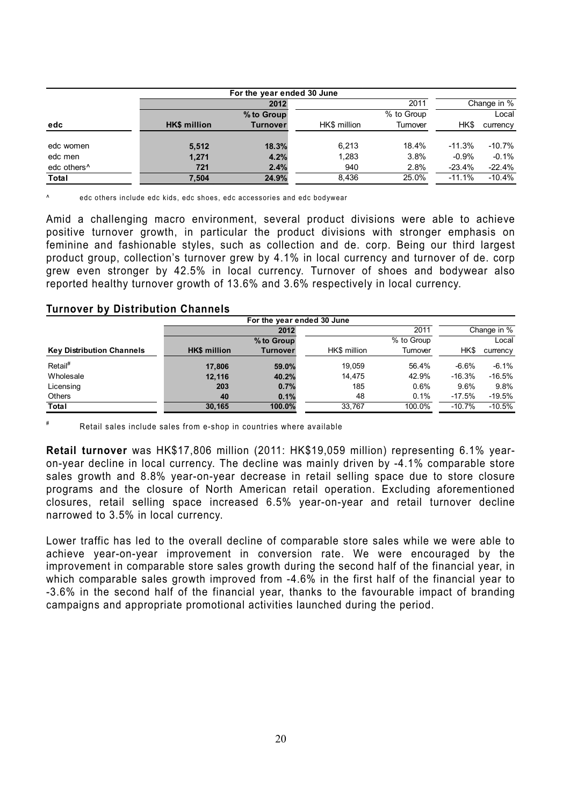| For the year ended 30 June |                     |                 |              |            |          |             |
|----------------------------|---------------------|-----------------|--------------|------------|----------|-------------|
|                            |                     | 2012            |              | 2011       |          | Change in % |
|                            |                     | % to Group      |              | % to Group |          | Local       |
| edc                        | <b>HK\$</b> million | <b>Turnover</b> | HK\$ million | Turnover   | HK\$     | currency    |
|                            |                     |                 |              |            |          |             |
| edc women                  | 5,512               | 18.3%           | 6.213        | 18.4%      | $-11.3%$ | $-10.7\%$   |
| edc men                    | 1,271               | 4.2%            | 1,283        | 3.8%       | $-0.9%$  | $-0.1%$     |
| edc others <sup>^</sup>    | 721                 | 2.4%            | 940          | 2.8%       | $-23.4%$ | $-22.4%$    |
| Total                      | 7.504               | 24.9%           | 8.436        | 25.0%      | $-11.1%$ | $-10.4%$    |

edc others include edc kids, edc shoes, edc accessories and edc bodywear

Amid a challenging macro environment, several product divisions were able to achieve positive turnover growth, in particular the product divisions with stronger emphasis on feminine and fashionable styles, such as collection and de. corp. Being our third largest product group, collection's turnover grew by 4.1% in local currency and turnover of de. corp grew even stronger by 42.5% in local currency. Turnover of shoes and bodywear also reported healthy turnover growth of 13.6% and 3.6% respectively in local currency.

#### **Turnover by Distribution Channels**

|                                  | For the year ended 30 June |                          |              |          |          |             |
|----------------------------------|----------------------------|--------------------------|--------------|----------|----------|-------------|
|                                  |                            | 2012                     |              | 2011     |          | Change in % |
|                                  |                            | % to Group<br>% to Group |              |          |          | Local       |
| <b>Key Distribution Channels</b> | <b>HK\$</b> million        | Turnover                 | HK\$ million | Turnover | HK\$     | currency    |
| Retail <sup>#</sup>              | 17,806                     | 59.0%                    | 19.059       | 56.4%    | $-6.6%$  | $-6.1\%$    |
| Wholesale                        | 12,116                     | 40.2%                    | 14.475       | 42.9%    | $-16.3%$ | $-16.5%$    |
| Licensing                        | 203                        | 0.7%                     | 185          | 0.6%     | 9.6%     | 9.8%        |
| <b>Others</b>                    | 40                         | 0.1%                     | 48           | 0.1%     | $-17.5%$ | $-19.5%$    |
| Total                            | 30.165                     | 100.0%                   | 33.767       | 100.0%   | $-10.7%$ | $-10.5%$    |

Retail sales include sales from e-shop in countries where available

**Retail turnover** was HK\$17,806 million (2011: HK\$19,059 million) representing 6.1% yearon-year decline in local currency. The decline was mainly driven by -4.1% comparable store sales growth and 8.8% year-on-year decrease in retail selling space due to store closure programs and the closure of North American retail operation. Excluding aforementioned closures, retail selling space increased 6.5% year-on-year and retail turnover decline narrowed to 3.5% in local currency.

Lower traffic has led to the overall decline of comparable store sales while we were able to achieve year-on-year improvement in conversion rate. We were encouraged by the improvement in comparable store sales growth during the second half of the financial year, in which comparable sales growth improved from -4.6% in the first half of the financial year to -3.6% in the second half of the financial year, thanks to the favourable impact of branding campaigns and appropriate promotional activities launched during the period.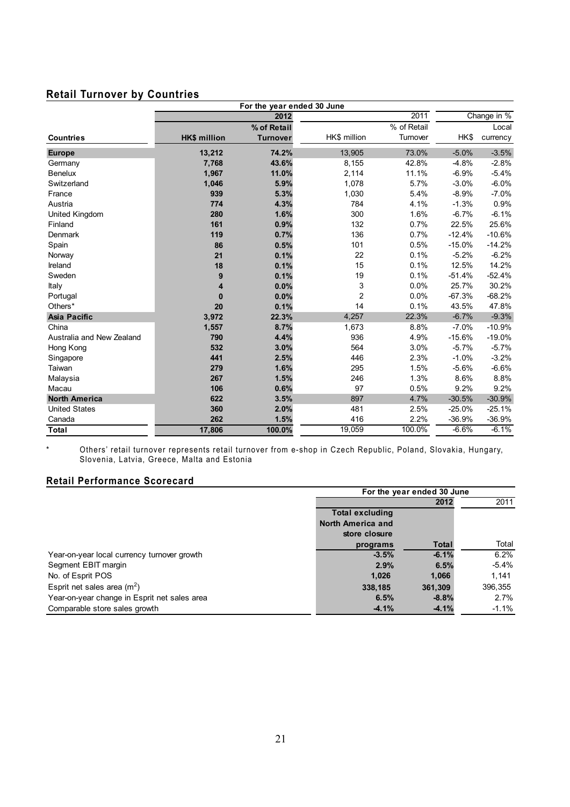# **Retail Turnover by Countries**

| For the year ended 30 June |                     |                 |                |             |          |             |
|----------------------------|---------------------|-----------------|----------------|-------------|----------|-------------|
|                            |                     | 2012            |                | 2011        |          | Change in % |
|                            |                     | % of Retail     |                | % of Retail |          | Local       |
| <b>Countries</b>           | <b>HK\$ million</b> | <b>Turnover</b> | HK\$ million   | Turnover    | HK\$     | currency    |
| <b>Europe</b>              | 13,212              | 74.2%           | 13,905         | 73.0%       | $-5.0%$  | $-3.5%$     |
| Germany                    | 7,768               | 43.6%           | 8,155          | 42.8%       | $-4.8%$  | $-2.8%$     |
| <b>Benelux</b>             | 1,967               | 11.0%           | 2,114          | 11.1%       | $-6.9%$  | $-5.4%$     |
| Switzerland                | 1,046               | 5.9%            | 1,078          | 5.7%        | $-3.0%$  | $-6.0%$     |
| France                     | 939                 | 5.3%            | 1,030          | 5.4%        | $-8.9%$  | $-7.0%$     |
| Austria                    | 774                 | 4.3%            | 784            | 4.1%        | $-1.3%$  | 0.9%        |
| United Kingdom             | 280                 | 1.6%            | 300            | 1.6%        | $-6.7%$  | $-6.1%$     |
| Finland                    | 161                 | 0.9%            | 132            | 0.7%        | 22.5%    | 25.6%       |
| Denmark                    | 119                 | 0.7%            | 136            | 0.7%        | $-12.4%$ | $-10.6%$    |
| Spain                      | 86                  | 0.5%            | 101            | 0.5%        | $-15.0%$ | $-14.2%$    |
| Norway                     | 21                  | 0.1%            | 22             | 0.1%        | $-5.2%$  | $-6.2%$     |
| Ireland                    | 18                  | 0.1%            | 15             | 0.1%        | 12.5%    | 14.2%       |
| Sweden                     | 9                   | 0.1%            | 19             | 0.1%        | $-51.4%$ | $-52.4%$    |
| Italy                      | 4                   | 0.0%            | 3              | 0.0%        | 25.7%    | 30.2%       |
| Portugal                   | $\bf{0}$            | 0.0%            | $\overline{c}$ | 0.0%        | $-67.3%$ | $-68.2%$    |
| Others*                    | 20                  | 0.1%            | 14             | 0.1%        | 43.5%    | 47.8%       |
| <b>Asia Pacific</b>        | 3,972               | 22.3%           | 4,257          | 22.3%       | $-6.7%$  | $-9.3%$     |
| China                      | 1,557               | 8.7%            | 1,673          | 8.8%        | $-7.0%$  | $-10.9%$    |
| Australia and New Zealand  | 790                 | 4.4%            | 936            | 4.9%        | $-15.6%$ | $-19.0%$    |
| Hong Kong                  | 532                 | 3.0%            | 564            | 3.0%        | $-5.7%$  | $-5.7%$     |
| Singapore                  | 441                 | 2.5%            | 446            | 2.3%        | $-1.0%$  | $-3.2%$     |
| Taiwan                     | 279                 | 1.6%            | 295            | 1.5%        | $-5.6%$  | $-6.6%$     |
| Malaysia                   | 267                 | 1.5%            | 246            | 1.3%        | 8.6%     | 8.8%        |
| Macau                      | 106                 | 0.6%            | 97             | 0.5%        | 9.2%     | 9.2%        |
| <b>North America</b>       | 622                 | 3.5%            | 897            | 4.7%        | $-30.5%$ | $-30.9%$    |
| <b>United States</b>       | 360                 | 2.0%            | 481            | 2.5%        | $-25.0%$ | $-25.1%$    |
| Canada                     | 262                 | 1.5%            | 416            | 2.2%        | $-36.9%$ | $-36.9%$    |
| <b>Total</b>               | 17,806              | 100.0%          | 19,059         | 100.0%      | $-6.6%$  | $-6.1%$     |

\* Others' retail turnover represents retail turnover from e-shop in Czech Republic, Poland, Slovakia, Hungary, Slovenia, Latvia, Greece, Malta and Estonia

### **Retail Performance Scorecard**

|                                              | For the year ended 30 June |         |          |
|----------------------------------------------|----------------------------|---------|----------|
|                                              |                            | 2012    | 2011     |
|                                              | <b>Total excluding</b>     |         |          |
|                                              | North America and          |         |          |
|                                              | store closure              |         |          |
|                                              | programs                   | Total   | Total    |
| Year-on-year local currency turnover growth  | $-3.5%$                    | $-6.1%$ | 6.2%     |
| Segment EBIT margin                          | 2.9%                       | 6.5%    | $-5.4\%$ |
| No. of Esprit POS                            | 1,026                      | 1,066   | 1.141    |
| Esprit net sales area $(m^2)$                | 338,185                    | 361,309 | 396,355  |
| Year-on-year change in Esprit net sales area | 6.5%                       | $-8.8%$ | 2.7%     |
| Comparable store sales growth                | $-4.1%$                    | $-4.1%$ | -1.1%    |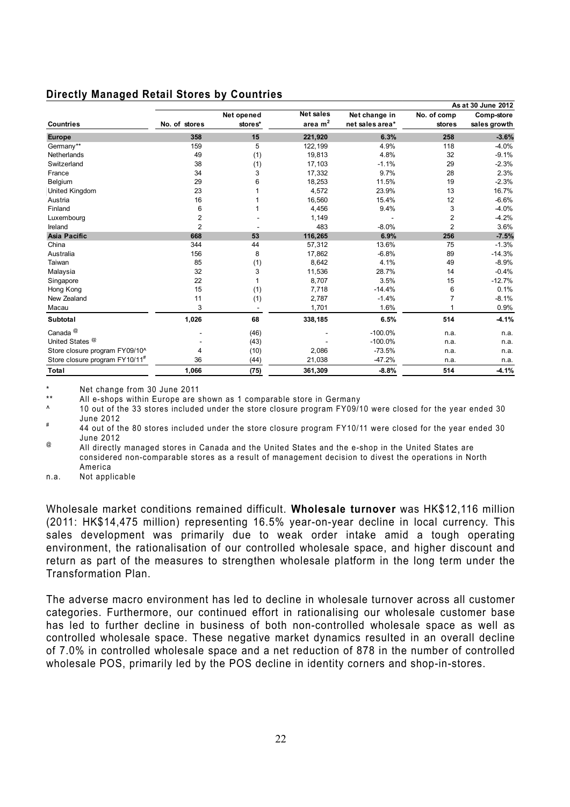### **Directly Managed Retail Stores by Countries**

|                                            |                         |            |                  |                 |                | As at 30 June 2012 |
|--------------------------------------------|-------------------------|------------|------------------|-----------------|----------------|--------------------|
|                                            |                         | Net opened | <b>Net sales</b> | Net change in   | No. of comp    | Comp-store         |
| <b>Countries</b>                           | No. of stores           | stores*    | area $m2$        | net sales area* | stores         | sales growth       |
| <b>Europe</b>                              | 358                     | 15         | 221,920          | 6.3%            | 258            | $-3.6%$            |
| Germany**                                  | 159                     | 5          | 122.199          | 4.9%            | 118            | $-4.0%$            |
| <b>Netherlands</b>                         | 49                      | (1)        | 19,813           | 4.8%            | 32             | $-9.1%$            |
| Switzerland                                | 38                      | (1)        | 17,103           | $-1.1%$         | 29             | $-2.3%$            |
| France                                     | 34                      | 3          | 17,332           | 9.7%            | 28             | 2.3%               |
| Belgium                                    | 29                      | 6          | 18,253           | 11.5%           | 19             | $-2.3%$            |
| United Kingdom                             | 23                      |            | 4,572            | 23.9%           | 13             | 16.7%              |
| Austria                                    | 16                      |            | 16,560           | 15.4%           | 12             | $-6.6%$            |
| Finland                                    | 6                       |            | 4,456            | 9.4%            | 3              | $-4.0%$            |
| Luxembourg                                 | $\overline{\mathbf{c}}$ |            | 1,149            |                 | $\overline{2}$ | $-4.2%$            |
| Ireland                                    | $\overline{2}$          |            | 483              | $-8.0%$         | $\overline{2}$ | 3.6%               |
| <b>Asia Pacific</b>                        | 668                     | 53         | 116,265          | 6.9%            | 256            | $-7.5%$            |
| China                                      | 344                     | 44         | 57,312           | 13.6%           | 75             | $-1.3%$            |
| Australia                                  | 156                     | 8          | 17,862           | $-6.8%$         | 89             | $-14.3%$           |
| Taiwan                                     | 85                      | (1)        | 8,642            | 4.1%            | 49             | $-8.9%$            |
| Malaysia                                   | 32                      | 3          | 11,536           | 28.7%           | 14             | $-0.4%$            |
| Singapore                                  | 22                      |            | 8,707            | 3.5%            | 15             | $-12.7%$           |
| Hong Kong                                  | 15                      | (1)        | 7,718            | $-14.4%$        | 6              | 0.1%               |
| New Zealand                                | 11                      | (1)        | 2,787            | $-1.4%$         |                | $-8.1%$            |
| Macau                                      | 3                       |            | 1,701            | 1.6%            |                | 0.9%               |
| Subtotal                                   | 1,026                   | 68         | 338,185          | 6.5%            | 514            | $-4.1%$            |
| Canada <sup>@</sup>                        |                         | (46)       |                  | $-100.0%$       | n.a.           | n.a.               |
| United States <sup><sup>@</sup></sup>      |                         | (43)       |                  | $-100.0\%$      | n.a.           | n.a.               |
| Store closure program FY09/10^             | 4                       | (10)       | 2,086            | $-73.5%$        | n.a.           | n.a.               |
| Store closure program FY10/11 <sup>#</sup> | 36                      | (44)       | 21,038           | $-47.2%$        | n.a.           | n.a.               |
| Total                                      | 1,066                   | (75)       | 361,309          | $-8.8%$         | 514            | $-4.1%$            |

\* Net change from 30 June 2011

All e-shops within Europe are shown as 1 comparable store in Germany

^ 10 out of the 33 stores included under the store closure program FY09/10 were closed for the year ended 30

June 2012 # 44 out of the 80 stores included under the store closure program FY10/11 were closed for the year ended 30 June 2012

<sup>@</sup> All directly managed stores in Canada and the United States and the e-shop in the United States are considered non-comparable stores as a result of management decision to divest the operations in North America

n.a. Not applicable

Wholesale market conditions remained difficult. **Wholesale turnover** was HK\$12,116 million (2011: HK\$14,475 million) representing 16.5% year-on-year decline in local currency. This sales development was primarily due to weak order intake amid a tough operating environment, the rationalisation of our controlled wholesale space, and higher discount and return as part of the measures to strengthen wholesale platform in the long term under the Transformation Plan.

The adverse macro environment has led to decline in wholesale turnover across all customer categories. Furthermore, our continued effort in rationalising our wholesale customer base has led to further decline in business of both non-controlled wholesale space as well as controlled wholesale space. These negative market dynamics resulted in an overall decline of 7.0% in controlled wholesale space and a net reduction of 878 in the number of controlled wholesale POS, primarily led by the POS decline in identity corners and shop-in-stores.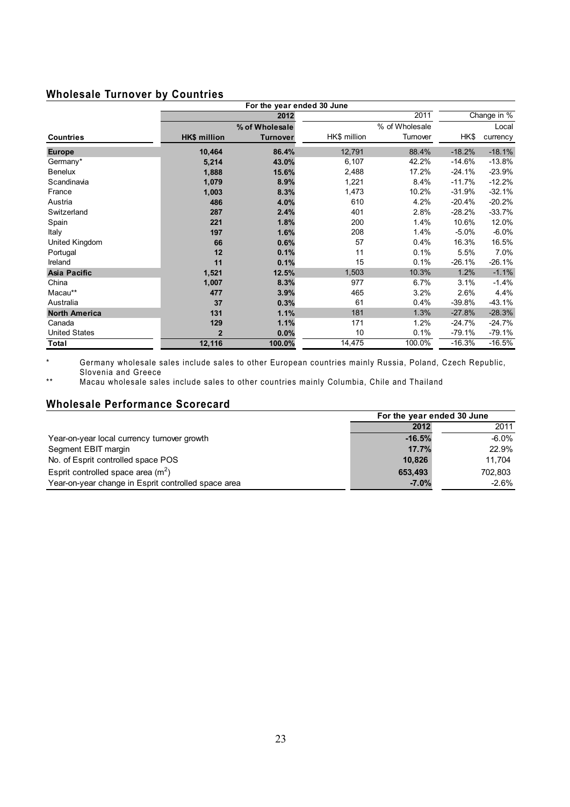# **Wholesale Turnover by Countries**

|                      |                | For the year ended 30 June |              |                |          |             |
|----------------------|----------------|----------------------------|--------------|----------------|----------|-------------|
|                      |                | 2012                       |              | 2011           |          | Change in % |
|                      |                | % of Wholesale             |              | % of Wholesale |          | Local       |
| <b>Countries</b>     | HK\$ million   | <b>Turnover</b>            | HK\$ million | Turnover       | HK\$     | currency    |
| <b>Europe</b>        | 10,464         | 86.4%                      | 12,791       | 88.4%          | $-18.2%$ | $-18.1%$    |
| Germany*             | 5,214          | 43.0%                      | 6,107        | 42.2%          | $-14.6%$ | $-13.8%$    |
| <b>Benelux</b>       | 1,888          | 15.6%                      | 2,488        | 17.2%          | $-24.1%$ | $-23.9%$    |
| Scandinavia          | 1,079          | 8.9%                       | 1,221        | 8.4%           | $-11.7%$ | $-12.2%$    |
| France               | 1,003          | 8.3%                       | 1,473        | 10.2%          | $-31.9%$ | $-32.1%$    |
| Austria              | 486            | 4.0%                       | 610          | 4.2%           | $-20.4%$ | $-20.2%$    |
| Switzerland          | 287            | 2.4%                       | 401          | 2.8%           | $-28.2%$ | $-33.7%$    |
| Spain                | 221            | 1.8%                       | 200          | 1.4%           | 10.6%    | 12.0%       |
| <b>Italy</b>         | 197            | 1.6%                       | 208          | 1.4%           | $-5.0%$  | $-6.0%$     |
| United Kingdom       | 66             | 0.6%                       | 57           | 0.4%           | 16.3%    | 16.5%       |
| Portugal             | 12             | 0.1%                       | 11           | 0.1%           | 5.5%     | 7.0%        |
| Ireland              | 11             | 0.1%                       | 15           | 0.1%           | $-26.1%$ | $-26.1%$    |
| Asia Pacific         | 1,521          | 12.5%                      | 1,503        | 10.3%          | 1.2%     | $-1.1%$     |
| China                | 1,007          | 8.3%                       | 977          | 6.7%           | 3.1%     | $-1.4%$     |
| Macau**              | 477            | 3.9%                       | 465          | 3.2%           | 2.6%     | 4.4%        |
| Australia            | 37             | 0.3%                       | 61           | 0.4%           | $-39.8%$ | $-43.1%$    |
| <b>North America</b> | 131            | 1.1%                       | 181          | 1.3%           | $-27.8%$ | $-28.3%$    |
| Canada               | 129            | 1.1%                       | 171          | 1.2%           | $-24.7%$ | $-24.7%$    |
| <b>United States</b> | $\overline{2}$ | 0.0%                       | 10           | 0.1%           | $-79.1%$ | $-79.1%$    |
| Total                | 12,116         | 100.0%                     | 14,475       | 100.0%         | $-16.3%$ | $-16.5%$    |

\* Germany wholesale sales include sales to other European countries mainly Russia, Poland, Czech Republic, Slovenia and Greece

\*\* Macau wholesale sales include sales to other countries mainly Columbia, Chile and Thailand

### **Wholesale Performance Scorecard**

|                                                     | For the year ended 30 June |          |  |
|-----------------------------------------------------|----------------------------|----------|--|
|                                                     | 2012                       | 2011     |  |
| Year-on-year local currency turnover growth         | $-16.5%$                   | -6.0%    |  |
| Segment EBIT margin                                 | 17.7%                      | 22.9%    |  |
| No. of Esprit controlled space POS                  | 10.826                     | 11.704   |  |
| Esprit controlled space area $(m2)$                 | 653.493                    | 702.803  |  |
| Year-on-year change in Esprit controlled space area | $-7.0%$                    | $-2.6\%$ |  |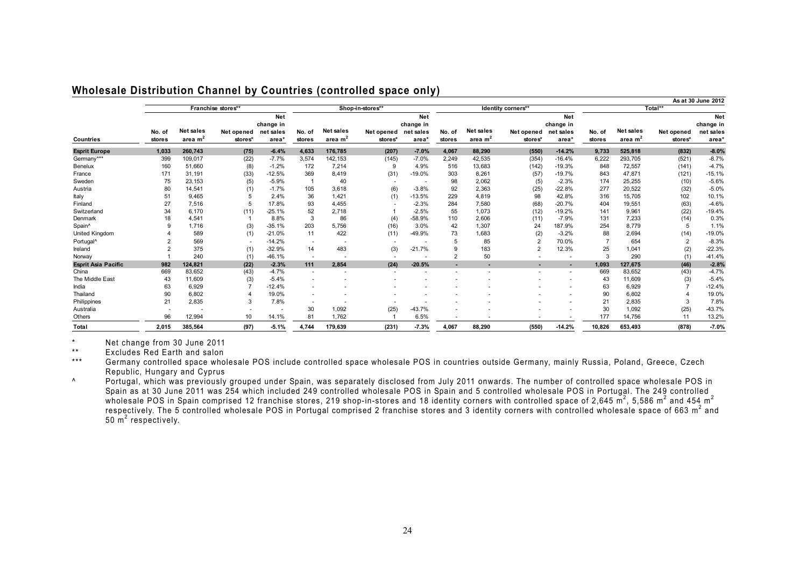|                            |        |           |                    |            |                          |           |                          |                          |          |           |                          |                          |               |           |                | As at 30 June 2012 |
|----------------------------|--------|-----------|--------------------|------------|--------------------------|-----------|--------------------------|--------------------------|----------|-----------|--------------------------|--------------------------|---------------|-----------|----------------|--------------------|
|                            |        |           | Franchise stores** |            |                          |           | Shop-in-stores**         |                          |          |           | Identity corners**       |                          |               |           | Total**        |                    |
|                            |        |           |                    | <b>Net</b> |                          |           |                          | <b>Net</b>               |          |           |                          | Net                      |               |           |                | Net                |
|                            |        |           |                    | change in  |                          |           |                          | change in                |          |           |                          | change in                |               |           |                | change in          |
|                            | No. of | Net sales | Net opened         | net sales  | No. of                   | Net sales | Net opened               | net sales                | No. of   | Net sales | Net opened               | net sales                | No. of        | Net sales | Net opened     | net sales          |
| Countries                  | stores | area $m2$ | stores*            | area*      | stores                   | area $m2$ | stores*                  | area*                    | stores   | area $m2$ | stores*                  | area*                    | <b>stores</b> | area $m2$ | stores*        | area <sup>*</sup>  |
| <b>Esprit Europe</b>       | 1.033  | 260.743   | (75)               | $-6.4%$    | 4.633                    | 176.785   | (207)                    | $-7.0%$                  | 4.067    | 88.290    | (550)                    | $-14.2%$                 | 9.733         | 525.818   | (832)          | $-8.0%$            |
| Germany***                 | 399    | 109,017   | (22)               | $-7.7%$    | 3,574                    | 142, 153  | (145)                    | $-7.0%$                  | 2,249    | 42,535    | (354)                    | $-16.4%$                 | 6,222         | 293,705   | (521)          | $-8.7%$            |
| Benelux                    | 160    | 51,660    | (8)                | $-1.2%$    | 172                      | 7,214     | 9                        | 4.9%                     | 516      | 13,683    | (142)                    | $-19.3%$                 | 848           | 72,557    | (141)          | $-4.7%$            |
| France                     | 171    | 31,191    | (33)               | $-12.5%$   | 369                      | 8,419     | (31)                     | $-19.0%$                 | 303      | 8,261     | (57)                     | $-19.7%$                 | 843           | 47,871    | (121)          | $-15.1%$           |
| Sweden                     | 75     | 23,153    | (5)                | $-5.9%$    |                          | 40        | $\overline{\phantom{a}}$ | $\overline{\phantom{a}}$ | 98       | 2,062     | (5)                      | $-2.3%$                  | 174           | 25,255    | (10)           | $-5.6%$            |
| Austria                    | 80     | 14,541    | (1)                | $-1.7%$    | 105                      | 3,618     | (6)                      | $-3.8%$                  | 92       | 2,363     | (25)                     | $-22.8%$                 | 277           | 20,522    | (32)           | $-5.0%$            |
| Italy                      | 51     | 9,465     |                    | 2.4%       | 36                       | 1,421     | (1)                      | $-13.5%$                 | 229      | 4,819     | 98                       | 42.8%                    | 316           | 15,705    | 102            | 10.1%              |
| Finland                    | 27     | 7,516     | 5                  | 17.8%      | 93                       | 4,455     |                          | $-2.3%$                  | 284      | 7,580     | (68)                     | $-20.7%$                 | 404           | 19,551    | (63)           | $-4.6%$            |
| Switzerland                | 34     | 6,170     | (11)               | $-25.1%$   | 52                       | 2,718     |                          | $-2.5%$                  | 55       | 1,073     | (12)                     | $-19.2%$                 | 141           | 9,961     | (22)           | $-19.4%$           |
| Denmark                    | 18     | 4,541     |                    | 8.8%       | 3                        | 86        | (4)                      | $-58.9%$                 | 110      | 2,606     | (11)                     | $-7.9%$                  | 131           | 7,233     | (14)           | 0.3%               |
| Spain^                     |        | 1,716     | (3)                | $-35.1%$   | 203                      | 5,756     | (16)                     | 3.0%                     | 42       | 1,307     | 24                       | 187.9%                   | 254           | 8,779     | 5              | 1.1%               |
| <b>United Kingdom</b>      |        | 589       | (1)                | $-21.0%$   | 11                       | 422       | (11)                     | -49.9%                   | 73       | 1,683     | (2)                      | $-3.2%$                  | 88            | 2,694     | (14)           | $-19.0%$           |
| Portugal <sup>^</sup>      |        | 569       | $\sim$             | $-14.2%$   |                          |           |                          |                          |          | 85        | $\overline{2}$           | 70.0%                    |               | 654       | $\overline{2}$ | $-8.3%$            |
| Ireland                    |        | 375       | (1)                | $-32.9%$   | 14                       | 483       | (3)                      | $-21.7%$                 | 9        | 183       |                          | 12.3%                    | 25            | 1,041     | (2)            | $-22.3%$           |
| Norway                     |        | 240       | (1)                | -46.1%     | $\overline{\phantom{a}}$ |           |                          |                          | $\Omega$ | 50        |                          |                          | $\mathcal{R}$ | 290       | (1)            | $-41.4%$           |
| <b>Esprit Asia Pacific</b> | 982    | 124,821   | (22)               | $-2.3%$    | 111                      | 2,854     | (24)                     | $-20.5%$                 |          |           |                          | ÷.                       | 1,093         | 127,675   | (46)           | $-2.8%$            |
| China                      | 669    | 83,652    | (43)               | $-4.7%$    | $\overline{\phantom{a}}$ |           |                          |                          |          |           | $\overline{\phantom{a}}$ | $\overline{\phantom{a}}$ | 669           | 83,652    | (43)           | $-4.7%$            |
| The Middle East            | 43     | 11,609    | (3)                | $-5.4%$    | $\overline{\phantom{a}}$ |           |                          |                          |          |           |                          | $\overline{\phantom{a}}$ | 43            | 11,609    | (3)            | $-5.4%$            |
| India                      | 63     | 6,929     |                    | $-12.4%$   |                          |           |                          |                          |          |           |                          |                          | 63            | 6,929     |                | $-12.4%$           |
| Thailand                   | 90     | 6,802     |                    | 19.0%      |                          |           |                          |                          |          |           |                          |                          | 90            | 6,802     |                | 19.0%              |
| Philippines                | 21     | 2,835     | 3                  | 7.8%       | $\overline{\phantom{a}}$ |           |                          |                          |          |           |                          |                          | 21            | 2,835     | 3              | 7.8%               |
| Australia                  | ٠      |           | $\blacksquare$     |            | 30                       | 1,092     | (25)                     | $-43.7%$                 |          |           |                          |                          | 30            | 1,092     | (25)           | $-43.7%$           |
| Others                     | 96     | 12,994    | 10                 | 14.1%      | 81                       | 1,762     |                          | 6.5%                     |          |           |                          |                          | 177           | 14,756    | 11             | 13.2%              |
| Total                      | 2,015  | 385,564   | (97)               | $-5.1%$    | 4,744                    | 179,639   | (231)                    | $-7.3%$                  | 4,067    | 88,290    | (550)                    | $-14.2%$                 | 10,826        | 653.493   | (878)          | $-7.0%$            |

#### **Wholesale Distribution Channel by Countries (controlled space only)**

\* Net change from 30 June 2011

\*\* Excludes Red Earth and salon

\*\*\* Germany controlled space wholesale POS include controlled space wholesale POS in countries outside Germany, mainly Russia, Poland, Greece, Czech Republic, Hungary and Cyprus

^ Portugal, which was previously grouped under Spain, was separately disclosed from July 2011 onwards. The number of controlled space wholesale POS in Spain as at 30 June 2011 was 254 which included 249 controlled wholesale POS in Spain and 5 controlled wholesale POS in Portugal. The 249 controlled wholesale POS in Spain comprised 12 franchise stores, 219 shop-in-stores and 18 identity corners with controlled space of 2,645 m<sup>2</sup>, 5,586 m<sup>2</sup> and 454 m<sup>2</sup> respectively. The 5 controlled wholesale POS in Portugal comprised 2 franchise stores and 3 identity corners with controlled wholesale space of 663 m<sup>2</sup> and  $50 \text{ m}^2$  respectively.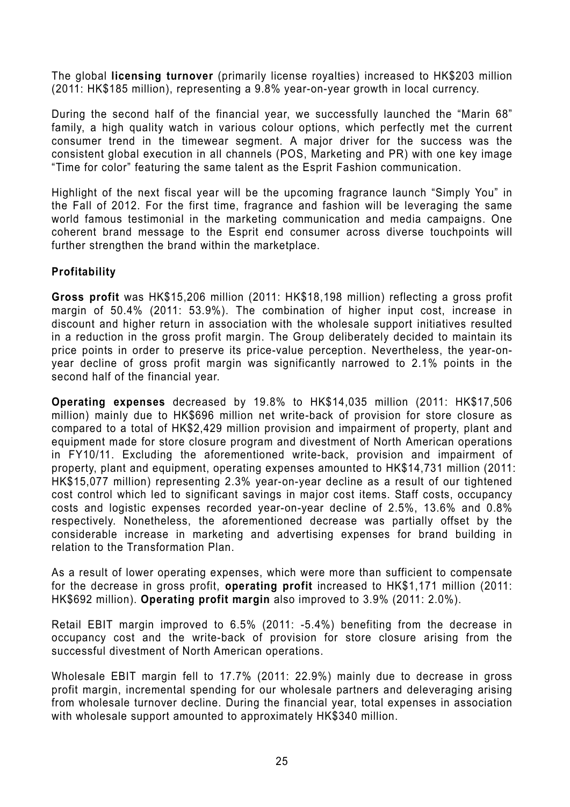The global **licensing turnover** (primarily license royalties) increased to HK\$203 million (2011: HK\$185 million), representing a 9.8% year-on-year growth in local currency.

During the second half of the financial year, we successfully launched the "Marin 68" family, a high quality watch in various colour options, which perfectly met the current consumer trend in the timewear segment. A major driver for the success was the consistent global execution in all channels (POS, Marketing and PR) with one key image "Time for color" featuring the same talent as the Esprit Fashion communication.

Highlight of the next fiscal year will be the upcoming fragrance launch "Simply You" in the Fall of 2012. For the first time, fragrance and fashion will be leveraging the same world famous testimonial in the marketing communication and media campaigns. One coherent brand message to the Esprit end consumer across diverse touchpoints will further strengthen the brand within the marketplace.

# **Profitability**

**Gross profit** was HK\$15,206 million (2011: HK\$18,198 million) reflecting a gross profit margin of 50.4% (2011: 53.9%). The combination of higher input cost, increase in discount and higher return in association with the wholesale support initiatives resulted in a reduction in the gross profit margin. The Group deliberately decided to maintain its price points in order to preserve its price-value perception. Nevertheless, the year-onyear decline of gross profit margin was significantly narrowed to 2.1% points in the second half of the financial year.

**Operating expenses** decreased by 19.8% to HK\$14,035 million (2011: HK\$17,506 million) mainly due to HK\$696 million net write-back of provision for store closure as compared to a total of HK\$2,429 million provision and impairment of property, plant and equipment made for store closure program and divestment of North American operations in FY10/11. Excluding the aforementioned write-back, provision and impairment of property, plant and equipment, operating expenses amounted to HK\$14,731 million (2011: HK\$15,077 million) representing 2.3% year-on-year decline as a result of our tightened cost control which led to significant savings in major cost items. Staff costs, occupancy costs and logistic expenses recorded year-on-year decline of 2.5%, 13.6% and 0.8% respectively. Nonetheless, the aforementioned decrease was partially offset by the considerable increase in marketing and advertising expenses for brand building in relation to the Transformation Plan.

As a result of lower operating expenses, which were more than sufficient to compensate for the decrease in gross profit, **operating profit** increased to HK\$1,171 million (2011: HK\$692 million). **Operating profit margin** also improved to 3.9% (2011: 2.0%).

Retail EBIT margin improved to 6.5% (2011: -5.4%) benefiting from the decrease in occupancy cost and the write-back of provision for store closure arising from the successful divestment of North American operations.

Wholesale EBIT margin fell to 17.7% (2011: 22.9%) mainly due to decrease in gross profit margin, incremental spending for our wholesale partners and deleveraging arising from wholesale turnover decline. During the financial year, total expenses in association with wholesale support amounted to approximately HK\$340 million.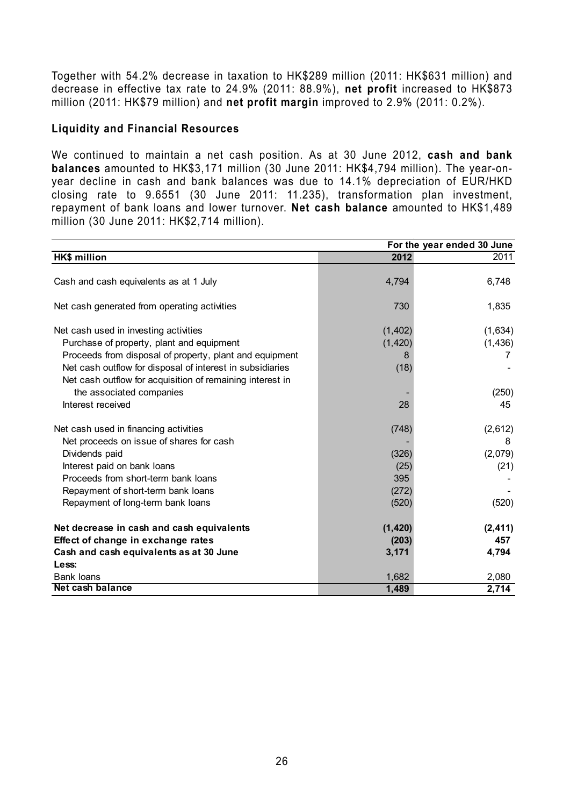Together with 54.2% decrease in taxation to HK\$289 million (2011: HK\$631 million) and decrease in effective tax rate to 24.9% (2011: 88.9%), **net profit** increased to HK\$873 million (2011: HK\$79 million) and **net profit margin** improved to 2.9% (2011: 0.2%).

### **Liquidity and Financial Resources**

We continued to maintain a net cash position. As at 30 June 2012, **cash and bank balances** amounted to HK\$3,171 million (30 June 2011: HK\$4,794 million). The year-onyear decline in cash and bank balances was due to 14.1% depreciation of EUR/HKD closing rate to 9.6551 (30 June 2011: 11.235), transformation plan investment, repayment of bank loans and lower turnover. **Net cash balance** amounted to HK\$1,489 million (30 June 2011: HK\$2,714 million).

|                                                           | For the year ended 30 June |          |  |  |
|-----------------------------------------------------------|----------------------------|----------|--|--|
| <b>HK\$ million</b>                                       | 2012                       | 2011     |  |  |
|                                                           |                            |          |  |  |
| Cash and cash equivalents as at 1 July                    | 4,794                      | 6,748    |  |  |
|                                                           |                            |          |  |  |
| Net cash generated from operating activities              | 730                        | 1,835    |  |  |
|                                                           |                            |          |  |  |
| Net cash used in investing activities                     | (1, 402)                   | (1,634)  |  |  |
| Purchase of property, plant and equipment                 | (1, 420)                   | (1, 436) |  |  |
| Proceeds from disposal of property, plant and equipment   | 8                          | 7        |  |  |
| Net cash outflow for disposal of interest in subsidiaries | (18)                       |          |  |  |
| Net cash outflow for acquisition of remaining interest in |                            |          |  |  |
| the associated companies                                  |                            | (250)    |  |  |
| Interest received                                         | 28                         | 45       |  |  |
|                                                           |                            |          |  |  |
| Net cash used in financing activities                     | (748)                      | (2,612)  |  |  |
| Net proceeds on issue of shares for cash                  |                            | 8        |  |  |
| Dividends paid                                            | (326)                      | (2,079)  |  |  |
| Interest paid on bank loans                               | (25)                       | (21)     |  |  |
| Proceeds from short-term bank loans                       | 395                        |          |  |  |
| Repayment of short-term bank loans                        | (272)                      |          |  |  |
| Repayment of long-term bank loans                         | (520)                      | (520)    |  |  |
|                                                           |                            |          |  |  |
| Net decrease in cash and cash equivalents                 | (1, 420)                   | (2, 411) |  |  |
| Effect of change in exchange rates                        | (203)                      | 457      |  |  |
| Cash and cash equivalents as at 30 June                   | 3,171                      | 4,794    |  |  |
| Less:                                                     |                            |          |  |  |
| <b>Bank loans</b>                                         | 1,682                      | 2,080    |  |  |
| Net cash balance                                          | 1,489                      | 2,714    |  |  |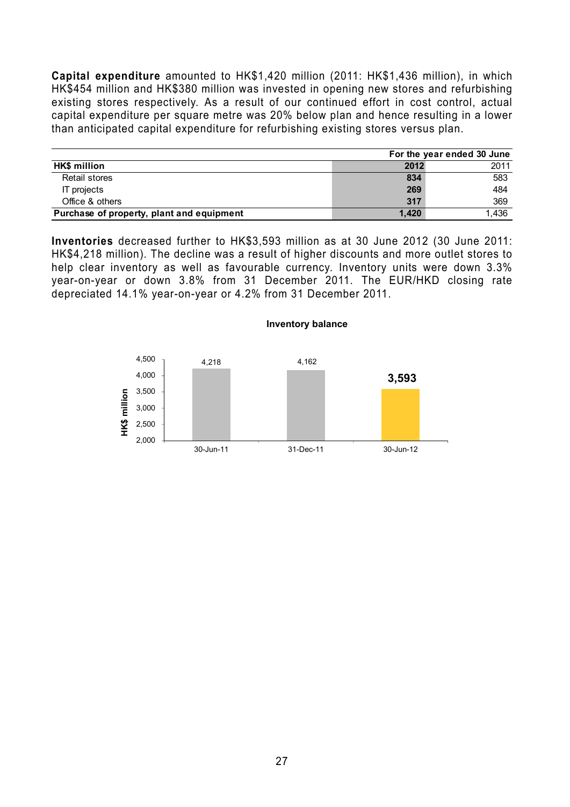**Capital expenditure** amounted to HK\$1,420 million (2011: HK\$1,436 million), in which HK\$454 million and HK\$380 million was invested in opening new stores and refurbishing existing stores respectively. As a result of our continued effort in cost control, actual capital expenditure per square metre was 20% below plan and hence resulting in a lower than anticipated capital expenditure for refurbishing existing stores versus plan.

|                                           |       | For the year ended 30 June |
|-------------------------------------------|-------|----------------------------|
| <b>HK\$</b> million                       | 2012  | 2011                       |
| <b>Retail stores</b>                      | 834   | 583                        |
| IT projects                               | 269   | 484                        |
| Office & others                           | 317   | 369                        |
| Purchase of property, plant and equipment | 1.420 | 1.436                      |

**Inventories** decreased further to HK\$3,593 million as at 30 June 2012 (30 June 2011: HK\$4,218 million). The decline was a result of higher discounts and more outlet stores to help clear inventory as well as favourable currency. Inventory units were down 3.3% year-on-year or down 3.8% from 31 December 2011. The EUR/HKD closing rate depreciated 14.1% year-on-year or 4.2% from 31 December 2011.

**Inventory balance**

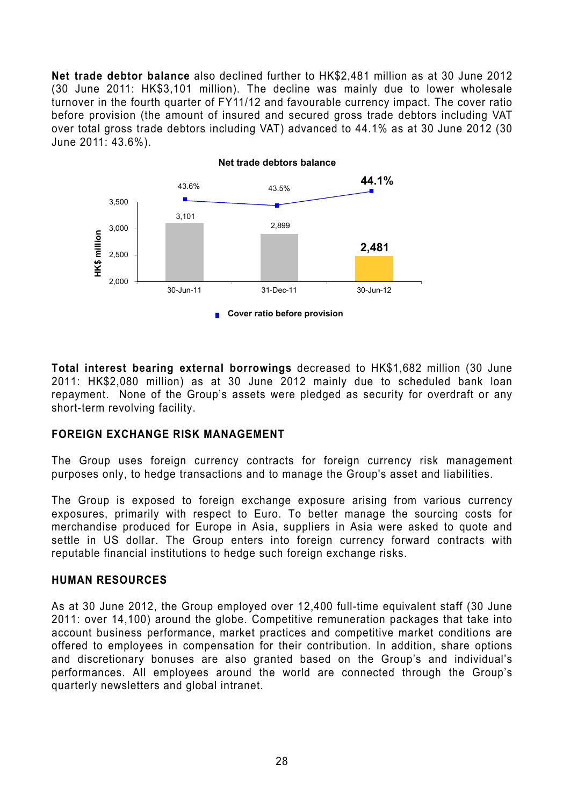**Net trade debtor balance** also declined further to HK\$2,481 million as at 30 June 2012 (30 June 2011: HK\$3,101 million). The decline was mainly due to lower wholesale turnover in the fourth quarter of FY11/12 and favourable currency impact. The cover ratio before provision (the amount of insured and secured gross trade debtors including VAT over total gross trade debtors including VAT) advanced to 44.1% as at 30 June 2012 (30 June 2011: 43.6%).



**Total interest bearing external borrowings** decreased to HK\$1,682 million (30 June 2011: HK\$2,080 million) as at 30 June 2012 mainly due to scheduled bank loan repayment. None of the Group's assets were pledged as security for overdraft or any short-term revolving facility.

### **FOREIGN EXCHANGE RISK MANAGEMENT**

The Group uses foreign currency contracts for foreign currency risk management purposes only, to hedge transactions and to manage the Group's asset and liabilities.

The Group is exposed to foreign exchange exposure arising from various currency exposures, primarily with respect to Euro. To better manage the sourcing costs for merchandise produced for Europe in Asia, suppliers in Asia were asked to quote and settle in US dollar. The Group enters into foreign currency forward contracts with reputable financial institutions to hedge such foreign exchange risks.

### **HUMAN RESOURCES**

As at 30 June 2012, the Group employed over 12,400 full-time equivalent staff (30 June 2011: over 14,100) around the globe. Competitive remuneration packages that take into account business performance, market practices and competitive market conditions are offered to employees in compensation for their contribution. In addition, share options and discretionary bonuses are also granted based on the Group's and individual's performances. All employees around the world are connected through the Group's quarterly newsletters and global intranet.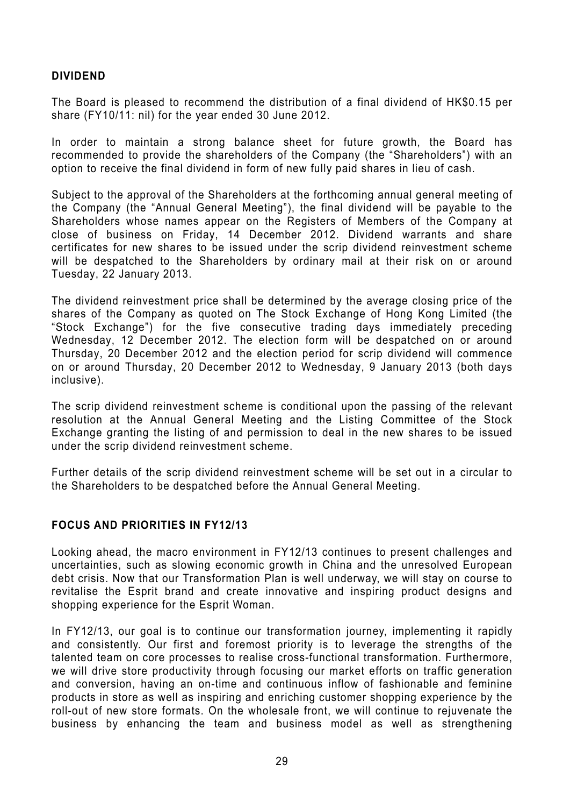### **DIVIDEND**

The Board is pleased to recommend the distribution of a final dividend of HK\$0.15 per share (FY10/11: nil) for the year ended 30 June 2012.

In order to maintain a strong balance sheet for future growth, the Board has recommended to provide the shareholders of the Company (the "Shareholders") with an option to receive the final dividend in form of new fully paid shares in lieu of cash.

Subject to the approval of the Shareholders at the forthcoming annual general meeting of the Company (the "Annual General Meeting"), the final dividend will be payable to the Shareholders whose names appear on the Registers of Members of the Company at close of business on Friday, 14 December 2012. Dividend warrants and share certificates for new shares to be issued under the scrip dividend reinvestment scheme will be despatched to the Shareholders by ordinary mail at their risk on or around Tuesday, 22 January 2013.

The dividend reinvestment price shall be determined by the average closing price of the shares of the Company as quoted on The Stock Exchange of Hong Kong Limited (the "Stock Exchange") for the five consecutive trading days immediately preceding Wednesday, 12 December 2012. The election form will be despatched on or around Thursday, 20 December 2012 and the election period for scrip dividend will commence on or around Thursday, 20 December 2012 to Wednesday, 9 January 2013 (both days inclusive).

The scrip dividend reinvestment scheme is conditional upon the passing of the relevant resolution at the Annual General Meeting and the Listing Committee of the Stock Exchange granting the listing of and permission to deal in the new shares to be issued under the scrip dividend reinvestment scheme.

Further details of the scrip dividend reinvestment scheme will be set out in a circular to the Shareholders to be despatched before the Annual General Meeting.

### **FOCUS AND PRIORITIES IN FY12/13**

Looking ahead, the macro environment in FY12/13 continues to present challenges and uncertainties, such as slowing economic growth in China and the unresolved European debt crisis. Now that our Transformation Plan is well underway, we will stay on course to revitalise the Esprit brand and create innovative and inspiring product designs and shopping experience for the Esprit Woman.

In FY12/13, our goal is to continue our transformation journey, implementing it rapidly and consistently. Our first and foremost priority is to leverage the strengths of the talented team on core processes to realise cross-functional transformation. Furthermore, we will drive store productivity through focusing our market efforts on traffic generation and conversion, having an on-time and continuous inflow of fashionable and feminine products in store as well as inspiring and enriching customer shopping experience by the roll-out of new store formats. On the wholesale front, we will continue to rejuvenate the business by enhancing the team and business model as well as strengthening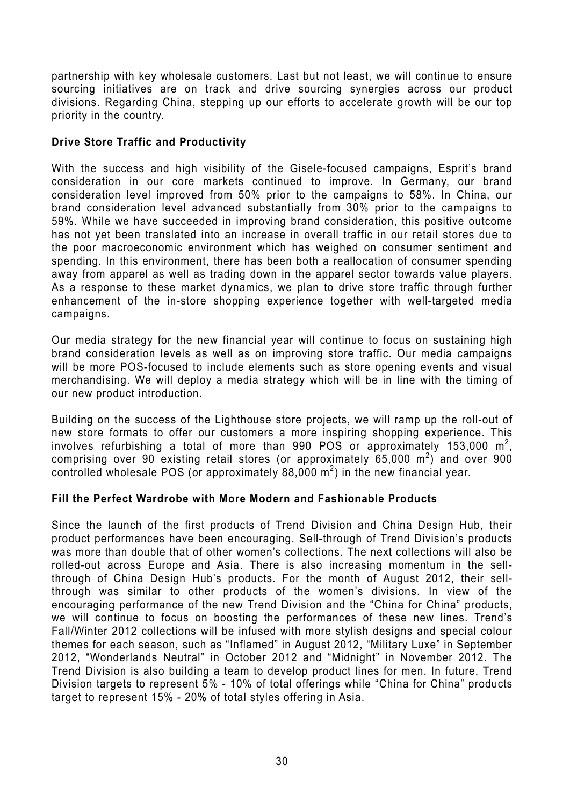partnership with key wholesale customers. Last but not least, we will continue to ensure sourcing initiatives are on track and drive sourcing synergies across our product divisions. Regarding China, stepping up our efforts to accelerate growth will be our top priority in the country.

# **Drive Store Traffic and Productivity**

With the success and high visibility of the Gisele-focused campaigns, Esprit's brand consideration in our core markets continued to improve. In Germany, our brand consideration level improved from 50% prior to the campaigns to 58%. In China, our brand consideration level advanced substantially from 30% prior to the campaigns to 59%. While we have succeeded in improving brand consideration, this positive outcome has not yet been translated into an increase in overall traffic in our retail stores due to the poor macroeconomic environment which has weighed on consumer sentiment and spending. In this environment, there has been both a reallocation of consumer spending away from apparel as well as trading down in the apparel sector towards value players. As a response to these market dynamics, we plan to drive store traffic through further enhancement of the in-store shopping experience together with well-targeted media campaigns.

Our media strategy for the new financial year will continue to focus on sustaining high brand consideration levels as well as on improving store traffic. Our media campaigns will be more POS-focused to include elements such as store opening events and visual merchandising. We will deploy a media strategy which will be in line with the timing of our new product introduction.

Building on the success of the Lighthouse store projects, we will ramp up the roll-out of new store formats to offer our customers a more inspiring shopping experience. This involves refurbishing a total of more than 990 POS or approximately 153,000  $m^2$ , comprising over 90 existing retail stores (or approximately 65,000  $m^2$ ) and over 900 controlled wholesale POS (or approximately 88,000  $m^2$ ) in the new financial year.

# **Fill the Perfect Wardrobe with More Modern and Fashionable Products**

Since the launch of the first products of Trend Division and China Design Hub, their product performances have been encouraging. Sell-through of Trend Division's products was more than double that of other women's collections. The next collections will also be rolled-out across Europe and Asia. There is also increasing momentum in the sellthrough of China Design Hub's products. For the month of August 2012, their sellthrough was similar to other products of the women's divisions. In view of the encouraging performance of the new Trend Division and the "China for China" products, we will continue to focus on boosting the performances of these new lines. Trend's Fall/Winter 2012 collections will be infused with more stylish designs and special colour themes for each season, such as "Inflamed" in August 2012, "Military Luxe" in September 2012, "Wonderlands Neutral" in October 2012 and "Midnight" in November 2012. The Trend Division is also building a team to develop product lines for men. In future, Trend Division targets to represent 5% - 10% of total offerings while "China for China" products target to represent 15% - 20% of total styles offering in Asia.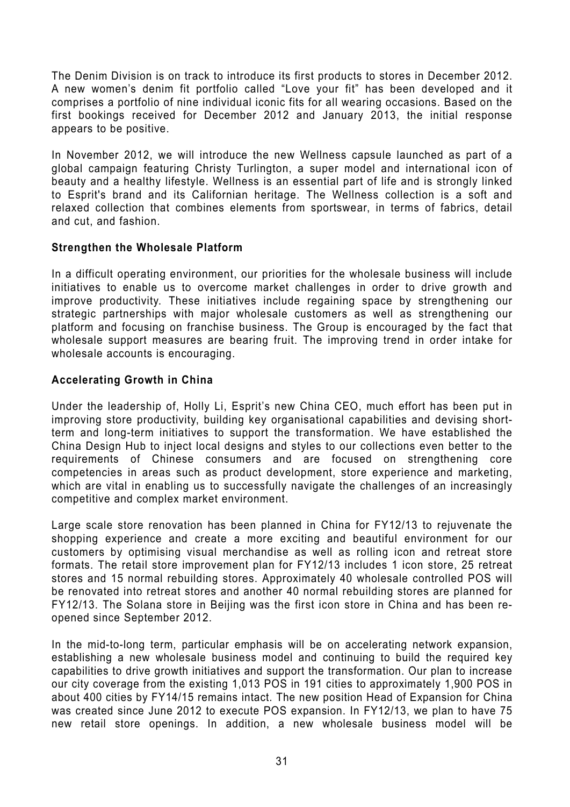The Denim Division is on track to introduce its first products to stores in December 2012. A new women's denim fit portfolio called "Love your fit" has been developed and it comprises a portfolio of nine individual iconic fits for all wearing occasions. Based on the first bookings received for December 2012 and January 2013, the initial response appears to be positive.

In November 2012, we will introduce the new Wellness capsule launched as part of a global campaign featuring Christy Turlington, a super model and international icon of beauty and a healthy lifestyle. Wellness is an essential part of life and is strongly linked to Esprit's brand and its Californian heritage. The Wellness collection is a soft and relaxed collection that combines elements from sportswear, in terms of fabrics, detail and cut, and fashion.

### **Strengthen the Wholesale Platform**

In a difficult operating environment, our priorities for the wholesale business will include initiatives to enable us to overcome market challenges in order to drive growth and improve productivity. These initiatives include regaining space by strengthening our strategic partnerships with major wholesale customers as well as strengthening our platform and focusing on franchise business. The Group is encouraged by the fact that wholesale support measures are bearing fruit. The improving trend in order intake for wholesale accounts is encouraging.

### **Accelerating Growth in China**

Under the leadership of, Holly Li, Esprit's new China CEO, much effort has been put in improving store productivity, building key organisational capabilities and devising shortterm and long-term initiatives to support the transformation. We have established the China Design Hub to inject local designs and styles to our collections even better to the requirements of Chinese consumers and are focused on strengthening core competencies in areas such as product development, store experience and marketing, which are vital in enabling us to successfully navigate the challenges of an increasingly competitive and complex market environment.

Large scale store renovation has been planned in China for FY12/13 to rejuvenate the shopping experience and create a more exciting and beautiful environment for our customers by optimising visual merchandise as well as rolling icon and retreat store formats. The retail store improvement plan for FY12/13 includes 1 icon store, 25 retreat stores and 15 normal rebuilding stores. Approximately 40 wholesale controlled POS will be renovated into retreat stores and another 40 normal rebuilding stores are planned for FY12/13. The Solana store in Beijing was the first icon store in China and has been reopened since September 2012.

In the mid-to-long term, particular emphasis will be on accelerating network expansion, establishing a new wholesale business model and continuing to build the required key capabilities to drive growth initiatives and support the transformation. Our plan to increase our city coverage from the existing 1,013 POS in 191 cities to approximately 1,900 POS in about 400 cities by FY14/15 remains intact. The new position Head of Expansion for China was created since June 2012 to execute POS expansion. In FY12/13, we plan to have 75 new retail store openings. In addition, a new wholesale business model will be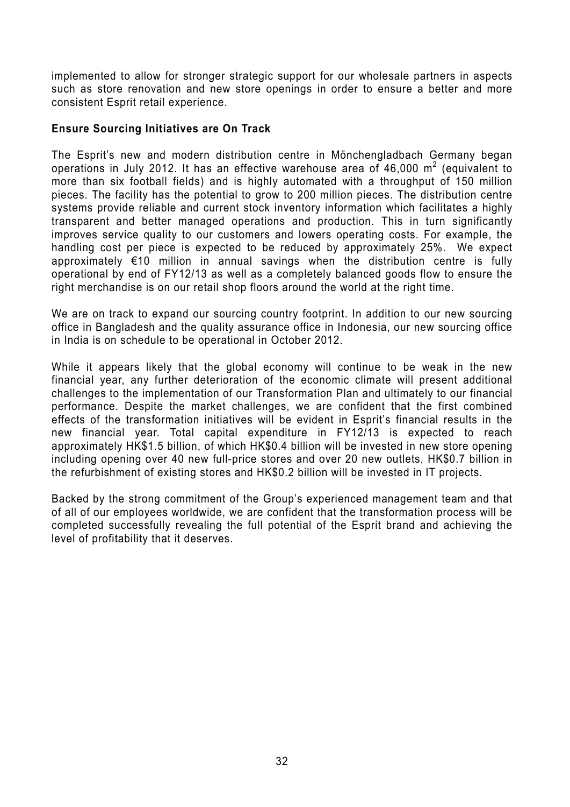implemented to allow for stronger strategic support for our wholesale partners in aspects such as store renovation and new store openings in order to ensure a better and more consistent Esprit retail experience.

### **Ensure Sourcing Initiatives are On Track**

The Esprit's new and modern distribution centre in Mönchengladbach Germany began operations in July 2012. It has an effective warehouse area of 46,000  $m^2$  (equivalent to more than six football fields) and is highly automated with a throughput of 150 million pieces. The facility has the potential to grow to 200 million pieces. The distribution centre systems provide reliable and current stock inventory information which facilitates a highly transparent and better managed operations and production. This in turn significantly improves service quality to our customers and lowers operating costs. For example, the handling cost per piece is expected to be reduced by approximately 25%. We expect approximately €10 million in annual savings when the distribution centre is fully operational by end of FY12/13 as well as a completely balanced goods flow to ensure the right merchandise is on our retail shop floors around the world at the right time.

We are on track to expand our sourcing country footprint. In addition to our new sourcing office in Bangladesh and the quality assurance office in Indonesia, our new sourcing office in India is on schedule to be operational in October 2012.

While it appears likely that the global economy will continue to be weak in the new financial year, any further deterioration of the economic climate will present additional challenges to the implementation of our Transformation Plan and ultimately to our financial performance. Despite the market challenges, we are confident that the first combined effects of the transformation initiatives will be evident in Esprit's financial results in the new financial year. Total capital expenditure in FY12/13 is expected to reach approximately HK\$1.5 billion, of which HK\$0.4 billion will be invested in new store opening including opening over 40 new full-price stores and over 20 new outlets, HK\$0.7 billion in the refurbishment of existing stores and HK\$0.2 billion will be invested in IT projects.

Backed by the strong commitment of the Group's experienced management team and that of all of our employees worldwide, we are confident that the transformation process will be completed successfully revealing the full potential of the Esprit brand and achieving the level of profitability that it deserves.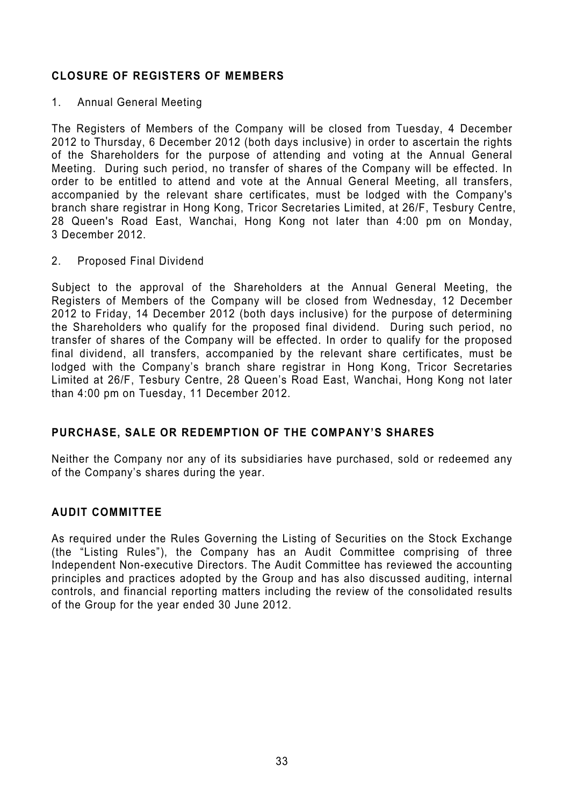# **CLOSURE OF REGISTERS OF MEMBERS**

1. Annual General Meeting

The Registers of Members of the Company will be closed from Tuesday, 4 December 2012 to Thursday, 6 December 2012 (both days inclusive) in order to ascertain the rights of the Shareholders for the purpose of attending and voting at the Annual General Meeting. During such period, no transfer of shares of the Company will be effected. In order to be entitled to attend and vote at the Annual General Meeting, all transfers, accompanied by the relevant share certificates, must be lodged with the Company's branch share registrar in Hong Kong, Tricor Secretaries Limited, at 26/F, Tesbury Centre, 28 Queen's Road East, Wanchai, Hong Kong not later than 4:00 pm on Monday, 3 December 2012.

2. Proposed Final Dividend

Subject to the approval of the Shareholders at the Annual General Meeting, the Registers of Members of the Company will be closed from Wednesday, 12 December 2012 to Friday, 14 December 2012 (both days inclusive) for the purpose of determining the Shareholders who qualify for the proposed final dividend. During such period, no transfer of shares of the Company will be effected. In order to qualify for the proposed final dividend, all transfers, accompanied by the relevant share certificates, must be lodged with the Company's branch share registrar in Hong Kong, Tricor Secretaries Limited at 26/F, Tesbury Centre, 28 Queen's Road East, Wanchai, Hong Kong not later than 4:00 pm on Tuesday, 11 December 2012.

# **PURCHASE, SALE OR REDEMPTION OF THE COMPANY'S SHARES**

Neither the Company nor any of its subsidiaries have purchased, sold or redeemed any of the Company's shares during the year.

# **AUDIT COMMITTEE**

As required under the Rules Governing the Listing of Securities on the Stock Exchange (the "Listing Rules"), the Company has an Audit Committee comprising of three Independent Non-executive Directors. The Audit Committee has reviewed the accounting principles and practices adopted by the Group and has also discussed auditing, internal controls, and financial reporting matters including the review of the consolidated results of the Group for the year ended 30 June 2012.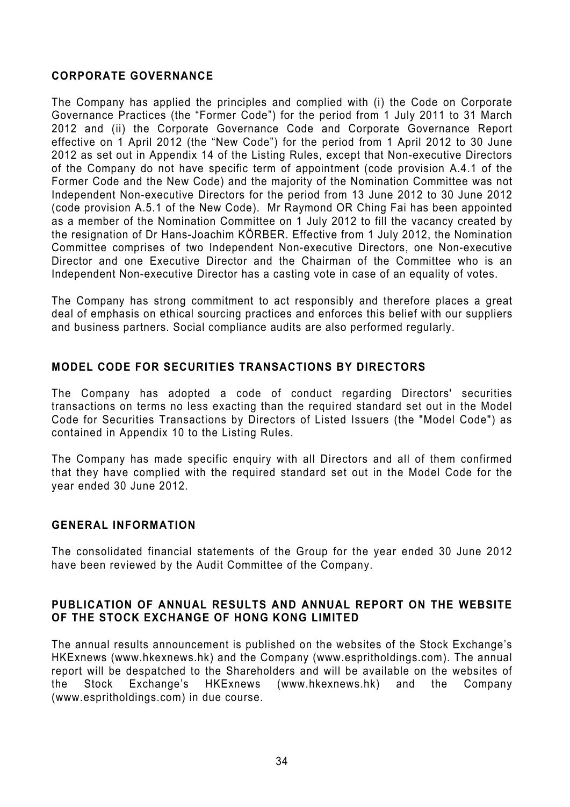### **CORPORATE GOVERNANCE**

The Company has applied the principles and complied with (i) the Code on Corporate Governance Practices (the "Former Code") for the period from 1 July 2011 to 31 March 2012 and (ii) the Corporate Governance Code and Corporate Governance Report effective on 1 April 2012 (the "New Code") for the period from 1 April 2012 to 30 June 2012 as set out in Appendix 14 of the Listing Rules, except that Non-executive Directors of the Company do not have specific term of appointment (code provision A.4.1 of the Former Code and the New Code) and the majority of the Nomination Committee was not Independent Non-executive Directors for the period from 13 June 2012 to 30 June 2012 (code provision A.5.1 of the New Code). Mr Raymond OR Ching Fai has been appointed as a member of the Nomination Committee on 1 July 2012 to fill the vacancy created by the resignation of Dr Hans-Joachim KÖRBER. Effective from 1 July 2012, the Nomination Committee comprises of two Independent Non-executive Directors, one Non-executive Director and one Executive Director and the Chairman of the Committee who is an Independent Non-executive Director has a casting vote in case of an equality of votes.

The Company has strong commitment to act responsibly and therefore places a great deal of emphasis on ethical sourcing practices and enforces this belief with our suppliers and business partners. Social compliance audits are also performed regularly.

### **MODEL CODE FOR SECURITIES TRANSACTIONS BY DIRECTORS**

The Company has adopted a code of conduct regarding Directors' securities transactions on terms no less exacting than the required standard set out in the Model Code for Securities Transactions by Directors of Listed Issuers (the "Model Code") as contained in Appendix 10 to the Listing Rules.

The Company has made specific enquiry with all Directors and all of them confirmed that they have complied with the required standard set out in the Model Code for the year ended 30 June 2012.

### **GENERAL INFORMATION**

The consolidated financial statements of the Group for the year ended 30 June 2012 have been reviewed by the Audit Committee of the Company.

### **PUBLICATION OF ANNUAL RESULTS AND ANNUAL REPORT ON THE WEBSITE OF THE STOCK EXCHANGE OF HONG KONG LIMITED**

The annual results announcement is published on the websites of the Stock Exchange's HKExnews (www.hkexnews.hk) and the Company (www.espritholdings.com). The annual report will be despatched to the Shareholders and will be available on the websites of the Stock Exchange's HKExnews (www.hkexnews.hk) and the Company (www.espritholdings.com) in due course.